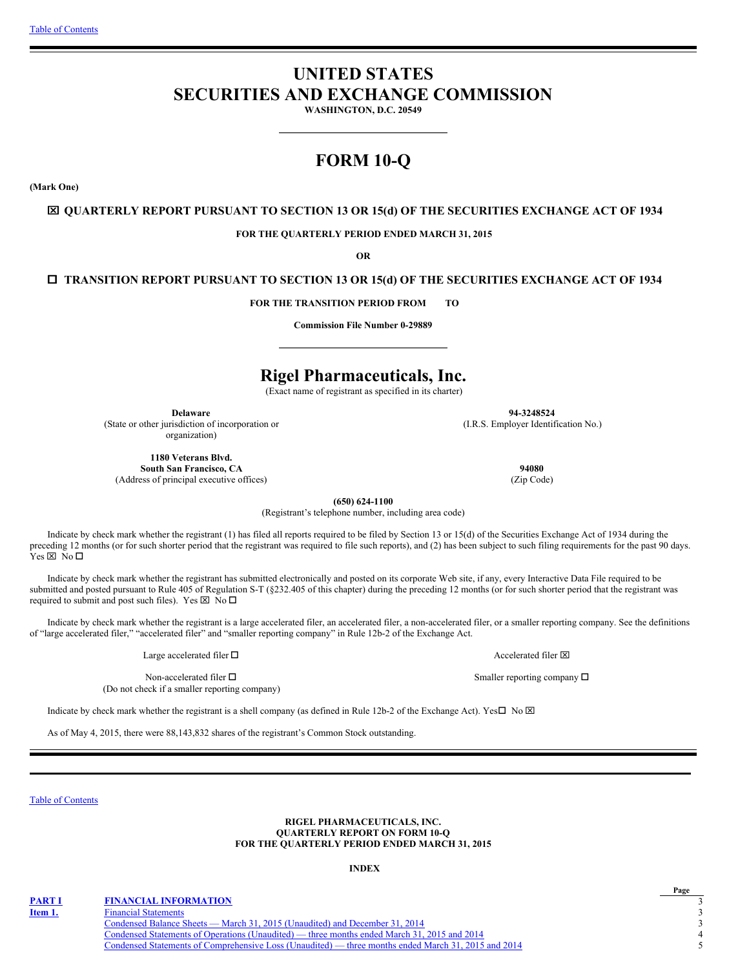# **UNITED STATES SECURITIES AND EXCHANGE COMMISSION**

**WASHINGTON, D.C. 20549**

# **FORM 10-Q**

**(Mark One)**

# x **QUARTERLY REPORT PURSUANT TO SECTION 13 OR 15(d) OF THE SECURITIES EXCHANGE ACT OF 1934**

**FOR THE QUARTERLY PERIOD ENDED MARCH 31, 2015**

**OR**

## o **TRANSITION REPORT PURSUANT TO SECTION 13 OR 15(d) OF THE SECURITIES EXCHANGE ACT OF 1934**

**FOR THE TRANSITION PERIOD FROM TO**

**Commission File Number 0-29889**

# **Rigel Pharmaceuticals, Inc.**

(Exact name of registrant as specified in its charter)

**Delaware 94-3248524**

(State or other jurisdiction of incorporation or (I.R.S. Employer Identification No.) organization)

**1180 Veterans Blvd. South San Francisco, CA 94080** (Address of principal executive offices) (Zip Code)

**(650) 624-1100**

(Registrant's telephone number, including area code)

Indicate by check mark whether the registrant (1) has filed all reports required to be filed by Section 13 or 15(d) of the Securities Exchange Act of 1934 during the preceding 12 months (or for such shorter period that the registrant was required to file such reports), and (2) has been subject to such filing requirements for the past 90 days.  $Yes \boxtimes No \Box$ 

Indicate by check mark whether the registrant has submitted electronically and posted on its corporate Web site, if any, every Interactive Data File required to be submitted and posted pursuant to Rule 405 of Regulation S-T (§232.405 of this chapter) during the preceding 12 months (or for such shorter period that the registrant was required to submit and post such files). Yes  $\boxtimes$  No  $\square$ 

Indicate by check mark whether the registrant is a large accelerated filer, an accelerated filer, a non-accelerated filer, or a smaller reporting company. See the definitions of "large accelerated filer," "accelerated filer" and "smaller reporting company" in Rule 12b-2 of the Exchange Act.

Large accelerated filer  $\Box$  Accelerated filer  $\boxtimes$ 

Non-accelerated filer  $\square$  Smaller reporting company  $\square$ (Do not check if a smaller reporting company)

Indicate by check mark whether the registrant is a shell company (as defined in Rule 12b-2 of the Exchange Act). Yes $\Box$  No  $\boxtimes$ 

As of May 4, 2015, there were 88,143,832 shares of the registrant's Common Stock outstanding.

Table of [Contents](#page-0-0)

## **RIGEL PHARMACEUTICALS, INC. QUARTERLY REPORT ON FORM 10-Q FOR THE QUARTERLY PERIOD ENDED MARCH 31, 2015**

<span id="page-0-0"></span>**INDEX**

**[PART](#page-1-0) I FINANCIAL [INFORMATION](#page-1-0)** 3<br> **Item 1.** Financial Statements 3 **<u>Financial [Statements](#page-1-1)</u>**<br> **1.** Financial Statements<br> **1.** Condensed Balance Sheets — March 31, 2015 (Unaudited) and December 31, 2014 Condensed Balance Sheets — March 31, 2015 [\(Unaudited\)](#page-1-2) and December 31, 2014<br>Condensed Statements of Operations (Unaudited) — three months ended March 31, 2015 and 2014 4 Condensed Statements of Operations [\(Unaudited\)](#page-1-3) — three months ended March 31, 2015 and 2014 Condensed Statements of [Comprehensive](#page-2-0) Loss (Unaudited) — three months ended March 31, 2015 and 2014 5

**Page**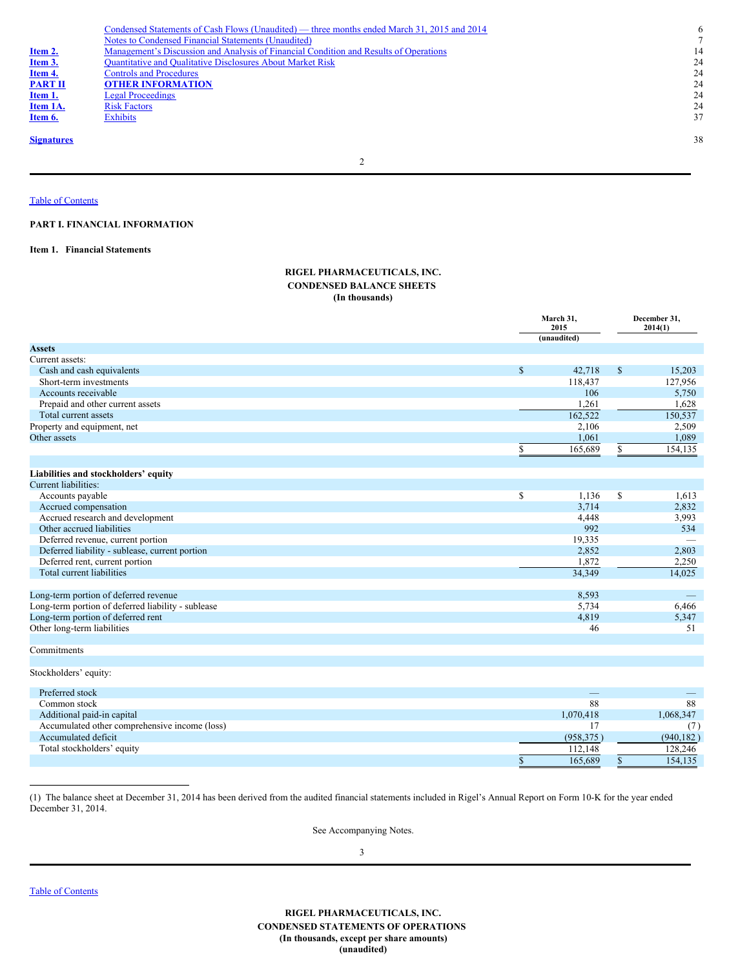**[Signatures](#page-23-0)** 38

<span id="page-1-2"></span>2

## Table of [Contents](#page-0-0)

## **PART I. FINANCIAL INFORMATION**

## <span id="page-1-1"></span>**Item 1. Financial Statements**

## <span id="page-1-0"></span>**RIGEL PHARMACEUTICALS, INC. CONDENSED BALANCE SHEETS (In thousands)**

|                                                    |    | March 31,<br>2015<br>(unaudited) |              | December 31,<br>2014(1) |  |
|----------------------------------------------------|----|----------------------------------|--------------|-------------------------|--|
| <b>Assets</b>                                      |    |                                  |              |                         |  |
| Current assets:                                    |    |                                  |              |                         |  |
| Cash and cash equivalents                          | \$ | 42,718                           | $\mathbb{S}$ | 15,203                  |  |
| Short-term investments                             |    | 118,437                          |              | 127,956                 |  |
| Accounts receivable                                |    | 106                              |              | 5,750                   |  |
| Prepaid and other current assets                   |    | 1,261                            |              | 1,628                   |  |
| Total current assets                               |    | 162,522                          |              | 150,537                 |  |
| Property and equipment, net                        |    | 2,106                            |              | 2,509                   |  |
| Other assets                                       |    | 1,061                            |              | 1,089                   |  |
|                                                    | S  | 165,689                          | \$           | 154,135                 |  |
|                                                    |    |                                  |              |                         |  |
| Liabilities and stockholders' equity               |    |                                  |              |                         |  |
| Current liabilities:                               |    |                                  |              |                         |  |
| Accounts payable                                   | \$ | 1,136                            | \$           | 1,613                   |  |
| Accrued compensation                               |    | 3,714                            |              | 2,832                   |  |
| Accrued research and development                   |    | 4,448                            |              | 3,993                   |  |
| Other accrued liabilities                          |    | 992                              |              | 534                     |  |
| Deferred revenue, current portion                  |    | 19,335                           |              |                         |  |
| Deferred liability - sublease, current portion     |    | 2,852                            |              | 2,803                   |  |
| Deferred rent, current portion                     |    | 1,872                            |              | 2,250                   |  |
| Total current liabilities                          |    | 34,349                           |              | 14,025                  |  |
|                                                    |    |                                  |              |                         |  |
| Long-term portion of deferred revenue              |    | 8,593                            |              |                         |  |
| Long-term portion of deferred liability - sublease |    | 5,734                            |              | 6,466                   |  |
| Long-term portion of deferred rent                 |    | 4,819                            |              | 5,347                   |  |
| Other long-term liabilities                        |    | 46                               |              | 51                      |  |
|                                                    |    |                                  |              |                         |  |
| Commitments                                        |    |                                  |              |                         |  |

Stockholders' equity:

| Preferred stock                               | $\overline{\phantom{a}}$ | $\overline{\phantom{a}}$ |
|-----------------------------------------------|--------------------------|--------------------------|
| Common stock                                  | 88                       | 88                       |
| Additional paid-in capital                    | 1,070,418                | 1,068,347                |
| Accumulated other comprehensive income (loss) |                          |                          |
| Accumulated deficit                           | (958, 375)               | (940, 182)               |
| Total stockholders' equity                    | 112.148                  | 128,246                  |
|                                               | 165,689                  | 154.135                  |
|                                               |                          |                          |

(1) The balance sheet at December 31, 2014 has been derived from the audited financial statements included in Rigel's Annual Report on Form 10-K for the year ended December 31, 2014.

<span id="page-1-3"></span>See Accompanying Notes.

## **RIGEL PHARMACEUTICALS, INC. CONDENSED STATEMENTS OF OPERATIONS (In thousands, except per share amounts) (unaudited)**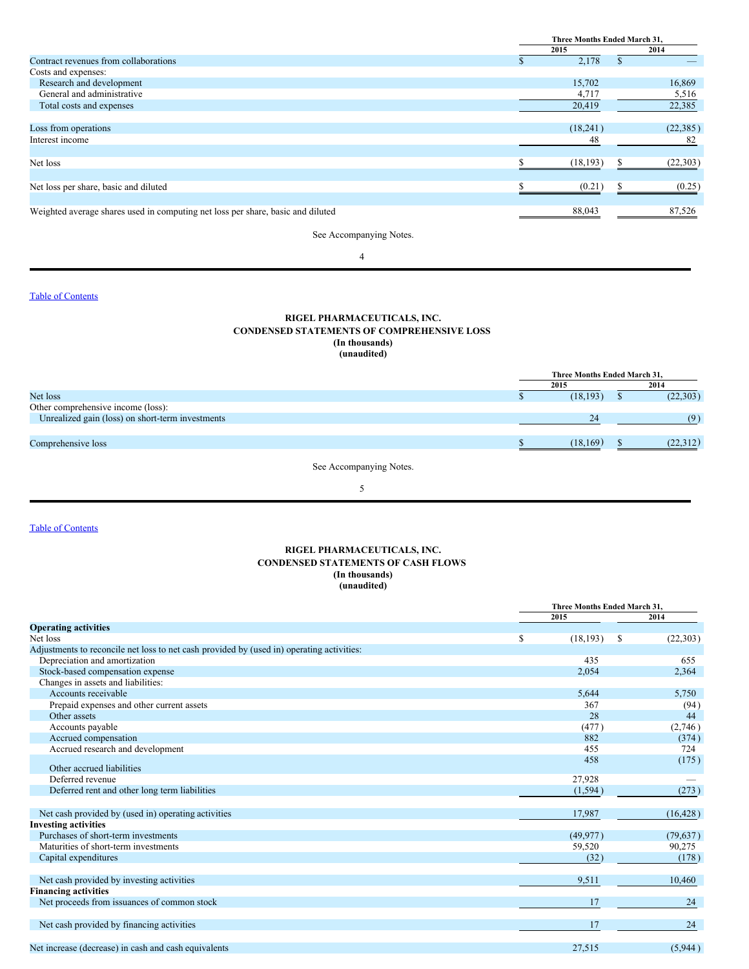|                                                                                 | Three Months Ended March 31, |           |  |           |  |
|---------------------------------------------------------------------------------|------------------------------|-----------|--|-----------|--|
|                                                                                 | 2015                         |           |  | 2014      |  |
| Contract revenues from collaborations                                           |                              | 2,178     |  |           |  |
| Costs and expenses:                                                             |                              |           |  |           |  |
| Research and development                                                        |                              | 15,702    |  | 16,869    |  |
| General and administrative                                                      |                              | 4,717     |  | 5,516     |  |
| Total costs and expenses                                                        |                              | 20,419    |  | 22,385    |  |
| Loss from operations                                                            |                              | (18,241)  |  | (22, 385) |  |
| Interest income                                                                 |                              | 48        |  | 82        |  |
| Net loss                                                                        |                              | (18, 193) |  | (22, 303) |  |
| Net loss per share, basic and diluted                                           |                              | (0.21)    |  | (0.25)    |  |
| Weighted average shares used in computing net loss per share, basic and diluted |                              | 88,043    |  | 87,526    |  |

See Accompanying Notes.

<span id="page-2-0"></span>4

## Table of [Contents](#page-0-0)

## **RIGEL PHARMACEUTICALS, INC.**

## **CONDENSED STATEMENTS OF COMPREHENSIVE LOSS**

**(In thousands)**



|                                                  | Three Months Ended March 31. |           |  |                   |  |
|--------------------------------------------------|------------------------------|-----------|--|-------------------|--|
|                                                  |                              | 2015      |  | 2014              |  |
| Net loss                                         |                              | (18, 193) |  | (22, 303)         |  |
| Other comprehensive income (loss):               |                              |           |  |                   |  |
| Unrealized gain (loss) on short-term investments |                              | 24        |  | $\left( 9\right)$ |  |
|                                                  |                              |           |  |                   |  |
| Comprehensive loss                               |                              | (18.169)  |  | (22,312)          |  |
|                                                  |                              |           |  |                   |  |

See Accompanying Notes.

<span id="page-2-1"></span>5

Table of [Contents](#page-0-0)

## **RIGEL PHARMACEUTICALS, INC. CONDENSED STATEMENTS OF CASH FLOWS (In thousands) (unaudited)**

|                                                                                           | Three Months Ended March 31. |           |    |           |
|-------------------------------------------------------------------------------------------|------------------------------|-----------|----|-----------|
|                                                                                           |                              | 2015      |    | 2014      |
| <b>Operating activities</b>                                                               |                              |           |    |           |
| Net loss                                                                                  | S                            | (18, 193) | -S | (22, 303) |
| Adjustments to reconcile net loss to net cash provided by (used in) operating activities: |                              |           |    |           |
| Depreciation and amortization                                                             |                              | 435       |    | 655       |
| Stock-based compensation expense                                                          |                              | 2,054     |    | 2,364     |
| Changes in assets and liabilities:                                                        |                              |           |    |           |
| Accounts receivable                                                                       |                              | 5,644     |    | 5,750     |
| Prepaid expenses and other current assets                                                 |                              | 367       |    | (94)      |
| Other assets                                                                              |                              | 28        |    | 44        |
| Accounts payable                                                                          |                              | (477)     |    | (2,746)   |
| Accrued compensation                                                                      |                              | 882       |    | (374)     |
| Accrued research and development                                                          |                              | 455       |    | 724       |
|                                                                                           |                              | 458       |    | (175)     |
| Other accrued liabilities                                                                 |                              |           |    |           |
| Deferred revenue                                                                          |                              | 27,928    |    |           |
| Deferred rent and other long term liabilities                                             |                              | (1, 594)  |    | (273)     |
|                                                                                           |                              |           |    |           |
| Net cash provided by (used in) operating activities                                       |                              | 17,987    |    | (16, 428) |
| <b>Investing activities</b>                                                               |                              |           |    |           |
| Purchases of short-term investments                                                       |                              | (49, 977) |    | (79, 637) |
| Maturities of short-term investments                                                      |                              | 59,520    |    | 90,275    |
| Capital expenditures                                                                      |                              | (32)      |    | (178)     |
|                                                                                           |                              |           |    |           |
| Net cash provided by investing activities                                                 |                              | 9,511     |    | 10,460    |
| <b>Financing activities</b>                                                               |                              |           |    |           |
| Net proceeds from issuances of common stock                                               |                              | 17        |    | 24        |
| Net cash provided by financing activities                                                 |                              | 17        |    | 24        |
| Net increase (decrease) in cash and cash equivalents                                      |                              | 27.515    |    | (5,944)   |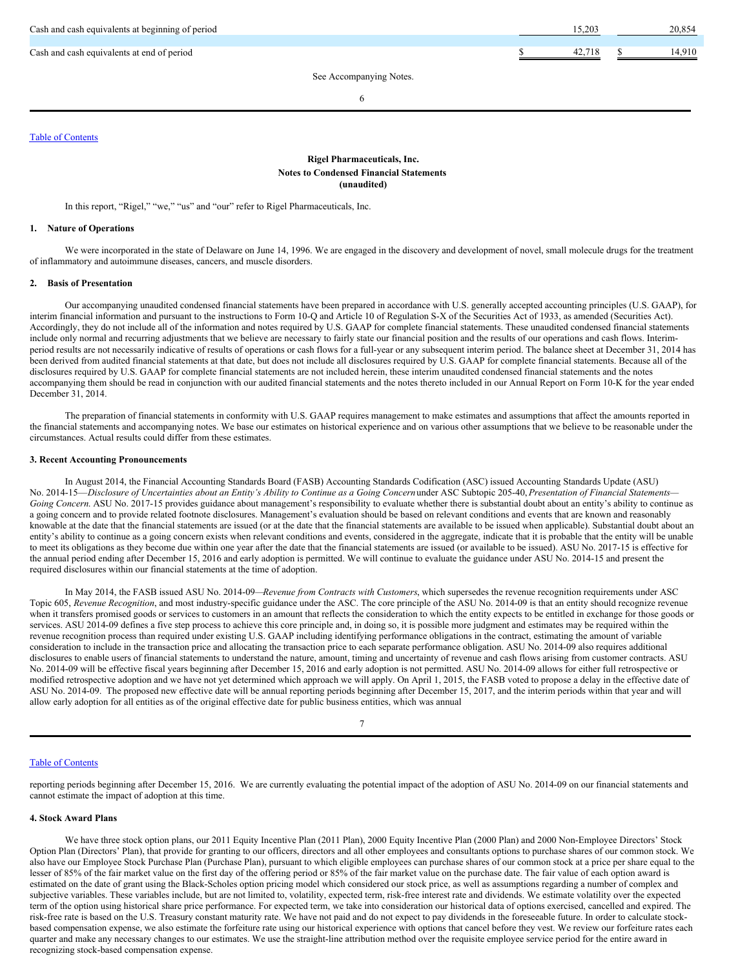| Cash and cash equivalents at beginning of period | 15.203 | 20,854 |
|--------------------------------------------------|--------|--------|
| Cash and cash equivalents at end of period       | 42.718 | 14.910 |
| See Accompanying Notes.                          |        |        |

<span id="page-3-0"></span>6

#### Table of [Contents](#page-0-0)

## **Rigel Pharmaceuticals, Inc. Notes to Condensed Financial Statements (unaudited)**

In this report, "Rigel," "we," "us" and "our" refer to Rigel Pharmaceuticals, Inc.

## **1. Nature of Operations**

We were incorporated in the state of Delaware on June 14, 1996. We are engaged in the discovery and development of novel, small molecule drugs for the treatment of inflammatory and autoimmune diseases, cancers, and muscle disorders.

#### **2. Basis of Presentation**

Our accompanying unaudited condensed financial statements have been prepared in accordance with U.S. generally accepted accounting principles (U.S. GAAP), for interim financial information and pursuant to the instructions to Form 10-Q and Article 10 of Regulation S-X of the Securities Act of 1933, as amended (Securities Act). Accordingly, they do not include all of the information and notes required by U.S. GAAP for complete financial statements. These unaudited condensed financial statements include only normal and recurring adjustments that we believe are necessary to fairly state our financial position and the results of our operations and cash flows. Interimperiod results are not necessarily indicative of results of operations or cash flows for a full-year or any subsequent interim period. The balance sheet at December 31, 2014 has been derived from audited financial statements at that date, but does not include all disclosures required by U.S. GAAP for complete financial statements. Because all of the disclosures required by U.S. GAAP for complete financial statements are not included herein, these interim unaudited condensed financial statements and the notes accompanying them should be read in conjunction with our audited financial statements and the notes thereto included in our Annual Report on Form 10-K for the year ended December 31, 2014.

The preparation of financial statements in conformity with U.S. GAAP requires management to make estimates and assumptions that affect the amounts reported in the financial statements and accompanying notes. We base our estimates on historical experience and on various other assumptions that we believe to be reasonable under the circumstances. Actual results could differ from these estimates.

## **3. Recent Accounting Pronouncements**

In August 2014, the Financial Accounting Standards Board (FASB) Accounting Standards Codification (ASC) issued Accounting Standards Update (ASU) No. 2014-15-Disclosure of Uncertainties about an Entity's Ability to Continue as a Going Concern under ASC Subtopic 205-40, Presentation of Financial Statements-*Going Concern*. ASU No. 2017-15 provides guidance about management's responsibility to evaluate whether there is substantial doubt about an entity's ability to continue as a going concern and to provide related footnote disclosures. Management's evaluation should be based on relevant conditions and events that are known and reasonably knowable at the date that the financial statements are issued (or at the date that the financial statements are available to be issued when applicable). Substantial doubt about an entity's ability to continue as a going concern exists when relevant conditions and events, considered in the aggregate, indicate that it is probable that the entity will be unable to meet its obligations as they become due within one year after the date that the financial statements are issued (or available to be issued). ASU No. 2017-15 is effective for the annual period ending after December 15, 2016 and early adoption is permitted. We will continue to evaluate the guidance under ASU No. 2014-15 and present the required disclosures within our financial statements at the time of adoption.

In May 2014, the FASB issued ASU No. 2014-09—*Revenue from Contracts with Customers*, which supersedes the revenue recognition requirements under ASC Topic 605, *Revenue Recognition*, and most industry-specific guidance under the ASC. The core principle of the ASU No. 2014-09 is that an entity should recognize revenue when it transfers promised goods or services to customers in an amount that reflects the consideration to which the entity expects to be entitled in exchange for those goods or services. ASU 2014-09 defines a five step process to achieve this core principle and, in doing so, it is possible more judgment and estimates may be required within the revenue recognition process than required under existing U.S. GAAP including identifying performance obligations in the contract, estimating the amount of variable consideration to include in the transaction price and allocating the transaction price to each separate performance obligation. ASU No. 2014-09 also requires additional disclosures to enable users of financial statements to understand the nature, amount, timing and uncertainty of revenue and cash flows arising from customer contracts. ASU No. 2014-09 will be effective fiscal years beginning after December 15, 2016 and early adoption is not permitted. ASU No. 2014-09 allows for either full retrospective or modified retrospective adoption and we have not yet determined which approach we will apply. On April 1, 2015, the FASB voted to propose a delay in the effective date of ASU No. 2014-09. The proposed new effective date will be annual reporting periods beginning after December 15, 2017, and the interim periods within that year and will allow early adoption for all entities as of the original effective date for public business entities, which was annual

## 7

#### Table of [Contents](#page-0-0)

reporting periods beginning after December 15, 2016. We are currently evaluating the potential impact of the adoption of ASU No. 2014-09 on our financial statements and cannot estimate the impact of adoption at this time.

## **4. Stock Award Plans**

We have three stock option plans, our 2011 Equity Incentive Plan (2011 Plan), 2000 Equity Incentive Plan (2000 Plan) and 2000 Non-Employee Directors' Stock Option Plan (Directors' Plan), that provide for granting to our officers, directors and all other employees and consultants options to purchase shares of our common stock. We also have our Employee Stock Purchase Plan (Purchase Plan), pursuant to which eligible employees can purchase shares of our common stock at a price per share equal to the lesser of 85% of the fair market value on the first day of the offering period or 85% of the fair market value on the purchase date. The fair value of each option award is estimated on the date of grant using the Black-Scholes option pricing model which considered our stock price, as well as assumptions regarding a number of complex and subjective variables. These variables include, but are not limited to, volatility, expected term, risk-free interest rate and dividends. We estimate volatility over the expected term of the option using historical share price performance. For expected term, we take into consideration our historical data of options exercised, cancelled and expired. The risk-free rate is based on the U.S. Treasury constant maturity rate. We have not paid and do not expect to pay dividends in the foreseeable future. In order to calculate stockbased compensation expense, we also estimate the forfeiture rate using our historical experience with options that cancel before they vest. We review our forfeiture rates each quarter and make any necessary changes to our estimates. We use the straight-line attribution method over the requisite employee service period for the entire award in recognizing stock-based compensation expense.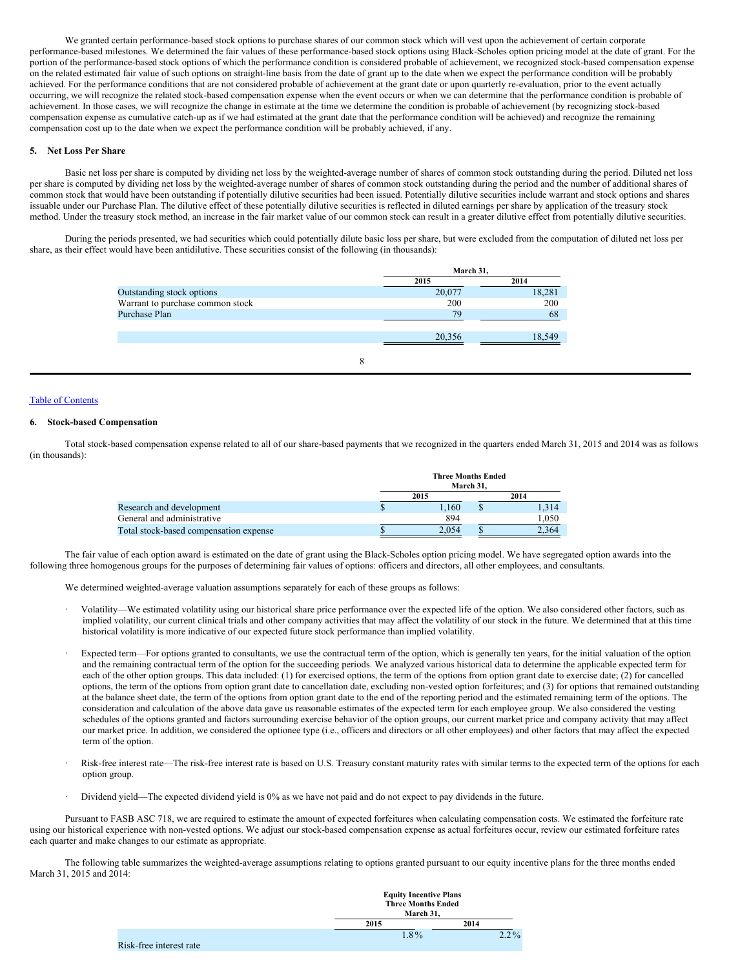We granted certain performance-based stock options to purchase shares of our common stock which will vest upon the achievement of certain corporate performance-based milestones. We determined the fair values of these performance-based stock options using Black-Scholes option pricing model at the date of grant. For the portion of the performance-based stock options of which the performance condition is considered probable of achievement, we recognized stock-based compensation expense on the related estimated fair value of such options on straight-line basis from the date of grant up to the date when we expect the performance condition will be probably achieved. For the performance conditions that are not considered probable of achievement at the grant date or upon quarterly re-evaluation, prior to the event actually occurring, we will recognize the related stock-based compensation expense when the event occurs or when we can determine that the performance condition is probable of achievement. In those cases, we will recognize the change in estimate at the time we determine the condition is probable of achievement (by recognizing stock-based compensation expense as cumulative catch-up as if we had estimated at the grant date that the performance condition will be achieved) and recognize the remaining compensation cost up to the date when we expect the performance condition will be probably achieved, if any.

#### **5. Net Loss Per Share**

Basic net loss per share is computed by dividing net loss by the weighted-average number of shares of common stock outstanding during the period. Diluted net loss per share is computed by dividing net loss by the weighted-average number of shares of common stock outstanding during the period and the number of additional shares of common stock that would have been outstanding if potentially dilutive securities had been issued. Potentially dilutive securities include warrant and stock options and shares issuable under our Purchase Plan. The dilutive effect of these potentially dilutive securities is reflected in diluted earnings per share by application of the treasury stock method. Under the treasury stock method, an increase in the fair market value of our common stock can result in a greater dilutive effect from potentially dilutive securities.

During the periods presented, we had securities which could potentially dilute basic loss per share, but were excluded from the computation of diluted net loss per share, as their effect would have been antidilutive. These securities consist of the following (in thousands):

|                                  | March 31, |        |
|----------------------------------|-----------|--------|
|                                  | 2015      | 2014   |
| Outstanding stock options        | 20,077    | 18,281 |
| Warrant to purchase common stock | 200       | 200    |
| Purchase Plan                    | 79        | 68     |
|                                  |           |        |
|                                  | 20,356    | 18,549 |
|                                  |           |        |
|                                  |           |        |

#### Table of [Contents](#page-0-0)

## **6. Stock-based Compensation**

Total stock-based compensation expense related to all of our share-based payments that we recognized in the quarters ended March 31, 2015 and 2014 was as follows (in thousands):

|                                        | <b>Three Months Ended</b><br>March 31. |       |   |       |
|----------------------------------------|----------------------------------------|-------|---|-------|
|                                        |                                        | 2015  |   | 2014  |
| Research and development               |                                        | 1.160 | P | 1.314 |
| General and administrative             |                                        | 894   |   | 1.050 |
| Total stock-based compensation expense |                                        | 2.054 |   | 2.364 |

The fair value of each option award is estimated on the date of grant using the Black-Scholes option pricing model. We have segregated option awards into the following three homogenous groups for the purposes of determining fair values of options: officers and directors, all other employees, and consultants.

We determined weighted-average valuation assumptions separately for each of these groups as follows:

- · Volatility—We estimated volatility using our historical share price performance over the expected life of the option. We also considered other factors, such as implied volatility, our current clinical trials and other company activities that may affect the volatility of our stock in the future. We determined that at this time historical volatility is more indicative of our expected future stock performance than implied volatility.
- Expected term—For options granted to consultants, we use the contractual term of the option, which is generally ten years, for the initial valuation of the option and the remaining contractual term of the option for the succeeding periods. We analyzed various historical data to determine the applicable expected term for each of the other option groups. This data included: (1) for exercised options, the term of the options from option grant date to exercise date; (2) for cancelled options, the term of the options from option grant date to cancellation date, excluding non-vested option forfeitures; and (3) for options that remained outstanding at the balance sheet date, the term of the options from option grant date to the end of the reporting period and the estimated remaining term of the options. The consideration and calculation of the above data gave us reasonable estimates of the expected term for each employee group. We also considered the vesting schedules of the options granted and factors surrounding exercise behavior of the option groups, our current market price and company activity that may affect our market price. In addition, we considered the optionee type (i.e., officers and directors or all other employees) and other factors that may affect the expected term of the option.
- Risk-free interest rate—The risk-free interest rate is based on U.S. Treasury constant maturity rates with similar terms to the expected term of the options for each option group.
- Dividend yield—The expected dividend yield is 0% as we have not paid and do not expect to pay dividends in the future.

Pursuant to FASB ASC 718, we are required to estimate the amount of expected forfeitures when calculating compensation costs. We estimated the forfeiture rate using our historical experience with non-vested options. We adjust our stock-based compensation expense as actual forfeitures occur, review our estimated forfeiture rates each quarter and make changes to our estimate as appropriate.

The following table summarizes the weighted-average assumptions relating to options granted pursuant to our equity incentive plans for the three months ended March 31, 2015 and 2014:

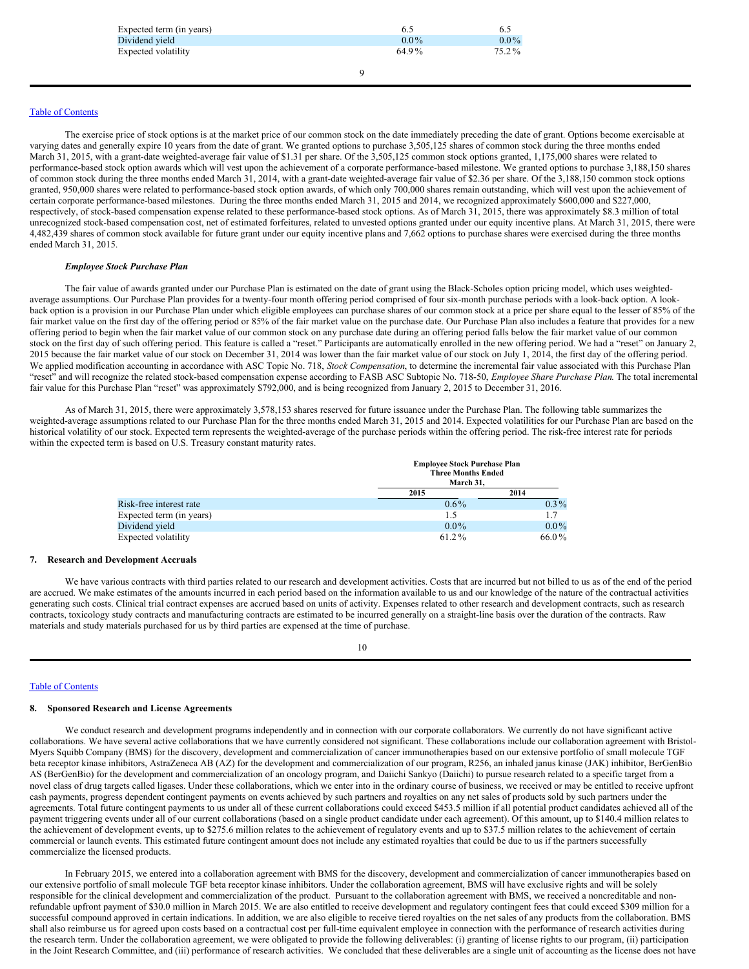| Expected term (in years) | 6.5     | 6.5     |
|--------------------------|---------|---------|
| Dividend yield           | $0.0\%$ | $0.0\%$ |
| Expected volatility      | 64.9%   | 75.2%   |
|                          |         |         |

## Table of [Contents](#page-0-0)

The exercise price of stock options is at the market price of our common stock on the date immediately preceding the date of grant. Options become exercisable at varying dates and generally expire 10 years from the date of grant. We granted options to purchase 3,505,125 shares of common stock during the three months ended March 31, 2015, with a grant-date weighted-average fair value of \$1.31 per share. Of the 3,505,125 common stock options granted, 1,175,000 shares were related to performance-based stock option awards which will vest upon the achievement of a corporate performance-based milestone. We granted options to purchase 3,188,150 shares of common stock during the three months ended March 31, 2014, with a grant-date weighted-average fair value of \$2.36 per share. Of the 3,188,150 common stock options granted, 950,000 shares were related to performance-based stock option awards, of which only 700,000 shares remain outstanding, which will vest upon the achievement of certain corporate performance-based milestones. During the three months ended March 31, 2015 and 2014, we recognized approximately \$600,000 and \$227,000, respectively, of stock-based compensation expense related to these performance-based stock options. As of March 31, 2015, there was approximately \$8.3 million of total unrecognized stock-based compensation cost, net of estimated forfeitures, related to unvested options granted under our equity incentive plans. At March 31, 2015, there were 4,482,439 shares of common stock available for future grant under our equity incentive plans and 7,662 options to purchase shares were exercised during the three months ended March 31, 2015.

9

#### *Employee Stock Purchase Plan*

The fair value of awards granted under our Purchase Plan is estimated on the date of grant using the Black-Scholes option pricing model, which uses weightedaverage assumptions. Our Purchase Plan provides for a twenty-four month offering period comprised of four six-month purchase periods with a look-back option. A lookback option is a provision in our Purchase Plan under which eligible employees can purchase shares of our common stock at a price per share equal to the lesser of 85% of the fair market value on the first day of the offering period or 85% of the fair market value on the purchase date. Our Purchase Plan also includes a feature that provides for a new offering period to begin when the fair market value of our common stock on any purchase date during an offering period falls below the fair market value of our common stock on the first day of such offering period. This feature is called a "reset." Participants are automatically enrolled in the new offering period. We had a "reset" on January 2, 2015 because the fair market value of our stock on December 31, 2014 was lower than the fair market value of our stock on July 1, 2014, the first day of the offering period. We applied modification accounting in accordance with ASC Topic No. 718, *Stock Compensation*, to determine the incremental fair value associated with this Purchase Plan "reset" and will recognize the related stock-based compensation expense according to FASB ASC Subtopic No. 718-50, *Employee Share Purchase Plan*. The total incremental fair value for this Purchase Plan "reset" was approximately \$792,000, and is being recognized from January 2, 2015 to December 31, 2016.

As of March 31, 2015, there were approximately 3,578,153 shares reserved for future issuance under the Purchase Plan. The following table summarizes the weighted-average assumptions related to our Purchase Plan for the three months ended March 31, 2015 and 2014. Expected volatilities for our Purchase Plan are based on the historical volatility of our stock. Expected term represents the weighted-average of the purchase periods within the offering period. The risk-free interest rate for periods within the expected term is based on U.S. Treasury constant maturity rates.

|                          | <b>Employee Stock Purchase Plan</b><br><b>Three Months Ended</b><br>March 31. |         |
|--------------------------|-------------------------------------------------------------------------------|---------|
|                          | 2015                                                                          | 2014    |
| Risk-free interest rate  | $0.6\%$                                                                       | $0.3\%$ |
| Expected term (in years) | 1.5                                                                           | 1.7     |
| Dividend yield           | $0.0\%$                                                                       | $0.0\%$ |
| Expected volatility      | $61.2\%$                                                                      | 66.0%   |

## **7. Research and Development Accruals**

We have various contracts with third parties related to our research and development activities. Costs that are incurred but not billed to us as of the end of the period are accrued. We make estimates of the amounts incurred in each period based on the information available to us and our knowledge of the nature of the contractual activities generating such costs. Clinical trial contract expenses are accrued based on units of activity. Expenses related to other research and development contracts, such as research contracts, toxicology study contracts and manufacturing contracts are estimated to be incurred generally on a straight-line basis over the duration of the contracts. Raw materials and study materials purchased for us by third parties are expensed at the time of purchase.

#### 10

#### Table of [Contents](#page-0-0)

#### **8. Sponsored Research and License Agreements**

We conduct research and development programs independently and in connection with our corporate collaborators. We currently do not have significant active collaborations. We have several active collaborations that we have currently considered not significant. These collaborations include our collaboration agreement with Bristol-Myers Squibb Company (BMS) for the discovery, development and commercialization of cancer immunotherapies based on our extensive portfolio of small molecule TGF beta receptor kinase inhibitors, AstraZeneca AB (AZ) for the development and commercialization of our program, R256, an inhaled janus kinase (JAK) inhibitor, BerGenBio AS (BerGenBio) for the development and commercialization of an oncology program, and Daiichi Sankyo (Daiichi) to pursue research related to a specific target from a novel class of drug targets called ligases. Under these collaborations, which we enter into in the ordinary course of business, we received or may be entitled to receive upfront cash payments, progress dependent contingent payments on events achieved by such partners and royalties on any net sales of products sold by such partners under the agreements. Total future contingent payments to us under all of these current collaborations could exceed \$453.5 million if all potential product candidates achieved all of the payment triggering events under all of our current collaborations (based on a single product candidate under each agreement). Of this amount, up to \$140.4 million relates to the achievement of development events, up to \$275.6 million relates to the achievement of regulatory events and up to \$37.5 million relates to the achievement of certain commercial or launch events. This estimated future contingent amount does not include any estimated royalties that could be due to us if the partners successfully commercialize the licensed products.

In February 2015, we entered into a collaboration agreement with BMS for the discovery, development and commercialization of cancer immunotherapies based on our extensive portfolio of small molecule TGF beta receptor kinase inhibitors. Under the collaboration agreement, BMS will have exclusive rights and will be solely responsible for the clinical development and commercialization of the product. Pursuant to the collaboration agreement with BMS, we received a noncreditable and nonrefundable upfront payment of \$30.0 million in March 2015. We are also entitled to receive development and regulatory contingent fees that could exceed \$309 million for a successful compound approved in certain indications. In addition, we are also eligible to receive tiered royalties on the net sales of any products from the collaboration. BMS shall also reimburse us for agreed upon costs based on a contractual cost per full-time equivalent employee in connection with the performance of research activities during the research term. Under the collaboration agreement, we were obligated to provide the following deliverables: (i) granting of license rights to our program, (ii) participation in the Joint Research Committee, and (iii) performance of research activities. We concluded that these deliverables are a single unit of accounting as the license does not have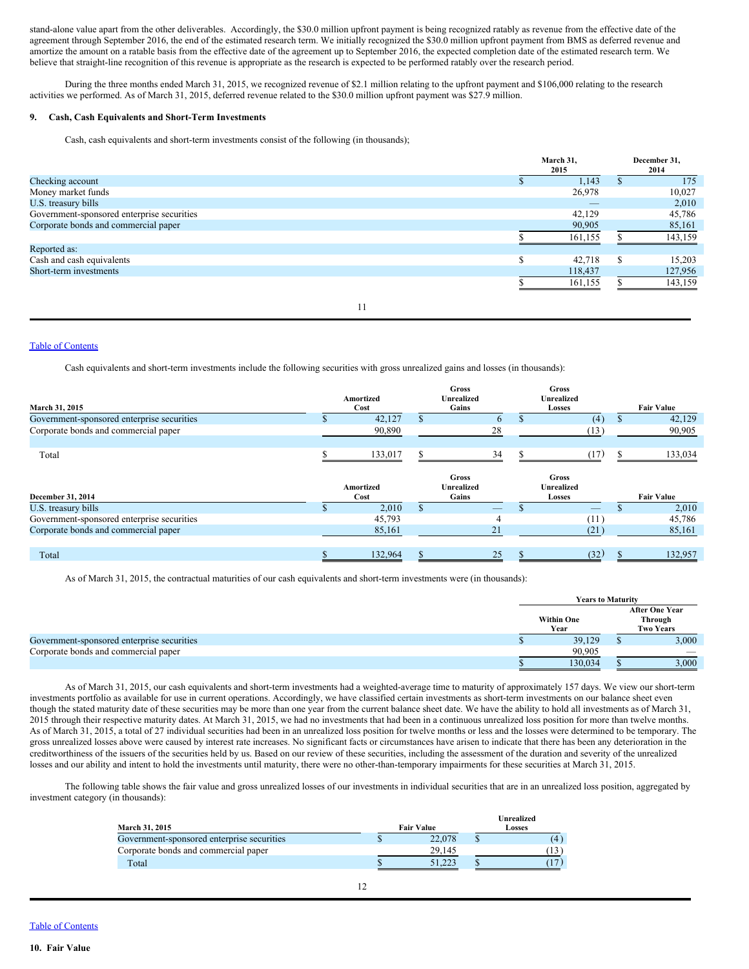stand-alone value apart from the other deliverables. Accordingly, the \$30.0 million upfront payment is being recognized ratably as revenue from the effective date of the agreement through September 2016, the end of the estimated research term. We initially recognized the \$30.0 million upfront payment from BMS as deferred revenue and amortize the amount on a ratable basis from the effective date of the agreement up to September 2016, the expected completion date of the estimated research term. We believe that straight-line recognition of this revenue is appropriate as the research is expected to be performed ratably over the research period.

During the three months ended March 31, 2015, we recognized revenue of \$2.1 million relating to the upfront payment and \$106,000 relating to the research activities we performed. As of March 31, 2015, deferred revenue related to the \$30.0 million upfront payment was \$27.9 million.

## **9. Cash, Cash Equivalents and Short-Term Investments**

Cash, cash equivalents and short-term investments consist of the following (in thousands);

|                                            |          | March 31,<br>2015 |               | December 31,<br>2014 |
|--------------------------------------------|----------|-------------------|---------------|----------------------|
| Checking account                           |          | 1,143             | æ             | 175                  |
| Money market funds                         |          | 26,978            |               | 10,027               |
| U.S. treasury bills                        |          |                   |               | 2,010                |
| Government-sponsored enterprise securities |          | 42,129            |               | 45,786               |
| Corporate bonds and commercial paper       |          | 90,905            |               | 85,161               |
|                                            |          | 161,155           |               | 143,159              |
| Reported as:                               |          |                   |               |                      |
| Cash and cash equivalents                  | $\sigma$ | 42,718            | <sup>\$</sup> | 15,203               |
| Short-term investments                     |          | 118,437           |               | 127,956              |
|                                            |          | 161,155           |               | 143,159              |
|                                            |          |                   |               |                      |

11

## Table of [Contents](#page-0-0)

Cash equivalents and short-term investments include the following securities with gross unrealized gains and losses (in thousands):

| March 31, 2015                                                                     | Amortized<br>Cost | Gross<br><b>Unrealized</b><br>Gains | Gross<br><b>Unrealized</b><br><b>Losses</b> | <b>Fair Value</b>          |
|------------------------------------------------------------------------------------|-------------------|-------------------------------------|---------------------------------------------|----------------------------|
| Government-sponsored enterprise securities                                         | 42,127            | $\sigma$                            | (4)                                         | 42,129                     |
| Corporate bonds and commercial paper                                               | 90,890            | 28                                  | (13)                                        | 90,905                     |
| Total                                                                              | 133,017           | 34                                  | (17)                                        | 133,034                    |
|                                                                                    |                   | Gross                               | Gross                                       |                            |
|                                                                                    | Amortized         | <b>Unrealized</b>                   | Unrealized                                  |                            |
| December 31, 2014                                                                  | Cost<br>2,010     | Gains                               | Losses<br>_                                 | <b>Fair Value</b><br>2,010 |
| U.S. treasury bills                                                                | 45,793            | 4                                   | (11)                                        | 45,786                     |
| Government-sponsored enterprise securities<br>Corporate bonds and commercial paper | 85,161            | 21                                  | (21)                                        | 85,161                     |

As of March 31, 2015, the contractual maturities of our cash equivalents and short-term investments were (in thousands):

|                                            |  | <b>Years to Maturity</b>  |         |  |                          |
|--------------------------------------------|--|---------------------------|---------|--|--------------------------|
|                                            |  | <b>Within One</b><br>Year |         |  | <b>After One Year</b>    |
|                                            |  |                           |         |  | Through                  |
|                                            |  |                           |         |  | <b>Two Years</b>         |
| Government-sponsored enterprise securities |  |                           | 39,129  |  | 3,000                    |
| Corporate bonds and commercial paper       |  |                           | 90.905  |  | $\overline{\phantom{a}}$ |
|                                            |  |                           | 130,034 |  | 3.000                    |

As of March 31, 2015, our cash equivalents and short-term investments had a weighted-average time to maturity of approximately 157 days. We view our short-term investments portfolio as available for use in current operations. Accordingly, we have classified certain investments as short-term investments on our balance sheet even though the stated maturity date of these securities may be more than one year from the current balance sheet date. We have the ability to hold all investments as of March 31, 2015 through their respective maturity dates. At March 31, 2015, we had no investments that had been in a continuous unrealized loss position for more than twelve months. As of March 31, 2015, a total of 27 individual securities had been in an unrealized loss position for twelve months or less and the losses were determined to be temporary. The gross unrealized losses above were caused by interest rate increases. No significant facts or circumstances have arisen to indicate that there has been any deterioration in the creditworthiness of the issuers of the securities held by us. Based on our review of these securities, including the assessment of the duration and severity of the unrealized losses and our ability and intent to hold the investments until maturity, there were no other-than-temporary impairments for these securities at March 31, 2015.

The following table shows the fair value and gross unrealized losses of our investments in individual securities that are in an unrealized loss position, aggregated by investment category (in thousands):

| <b>March 31, 2015</b>                      | <b>Fair Value</b> | <b>Unrealized</b><br>Losses |
|--------------------------------------------|-------------------|-----------------------------|
| Government-sponsored enterprise securities | 22,078            | 14                          |
| Corporate bonds and commercial paper       | 29.145            | 13                          |
| Total                                      | 51.223            |                             |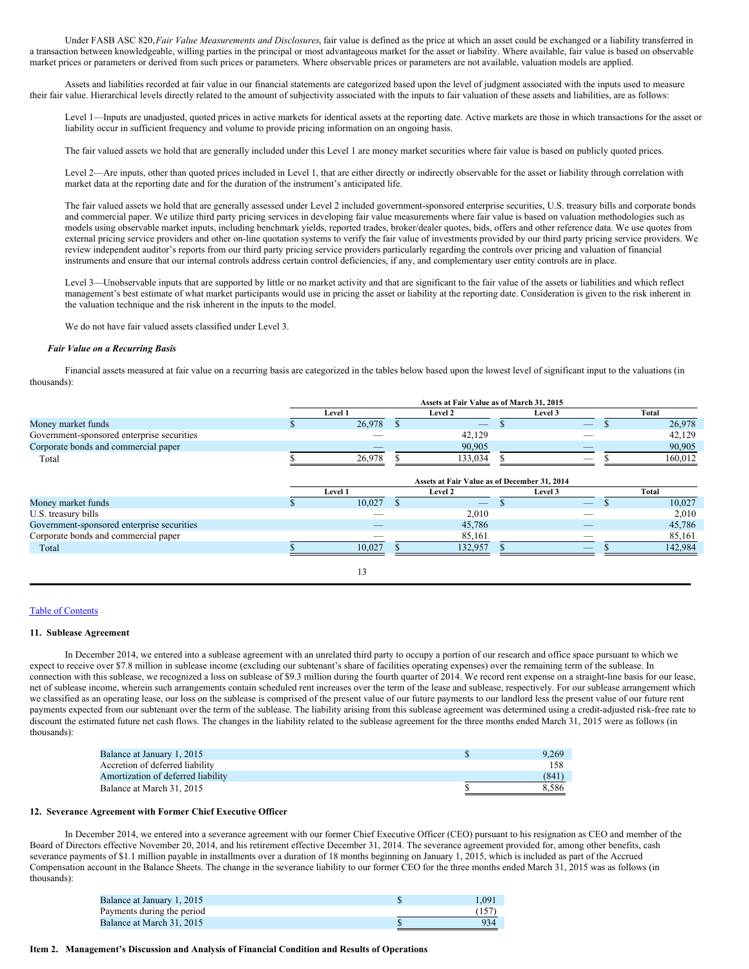Under FASB ASC 820,*Fair Value Measurements and Disclosures*, fair value is defined as the price at which an asset could be exchanged or a liability transferred in a transaction between knowledgeable, willing parties in the principal or most advantageous market for the asset or liability. Where available, fair value is based on observable market prices or parameters or derived from such prices or parameters. Where observable prices or parameters are not available, valuation models are applied.

Assets and liabilities recorded at fair value in our financial statements are categorized based upon the level of judgment associated with the inputs used to measure their fair value. Hierarchical levels directly related to the amount of subjectivity associated with the inputs to fair valuation of these assets and liabilities, are as follows:

Level 1—Inputs are unadjusted, quoted prices in active markets for identical assets at the reporting date. Active markets are those in which transactions for the asset or liability occur in sufficient frequency and volume to provide pricing information on an ongoing basis.

The fair valued assets we hold that are generally included under this Level 1 are money market securities where fair value is based on publicly quoted prices.

Level 2—Are inputs, other than quoted prices included in Level 1, that are either directly or indirectly observable for the asset or liability through correlation with market data at the reporting date and for the duration of the instrument's anticipated life.

The fair valued assets we hold that are generally assessed under Level 2 included government-sponsored enterprise securities, U.S. treasury bills and corporate bonds and commercial paper. We utilize third party pricing services in developing fair value measurements where fair value is based on valuation methodologies such as models using observable market inputs, including benchmark yields, reported trades, broker/dealer quotes, bids, offers and other reference data. We use quotes from external pricing service providers and other on-line quotation systems to verify the fair value of investments provided by our third party pricing service providers. We review independent auditor's reports from our third party pricing service providers particularly regarding the controls over pricing and valuation of financial instruments and ensure that our internal controls address certain control deficiencies, if any, and complementary user entity controls are in place.

Level 3—Unobservable inputs that are supported by little or no market activity and that are significant to the fair value of the assets or liabilities and which reflect management's best estimate of what market participants would use in pricing the asset or liability at the reporting date. Consideration is given to the risk inherent in the valuation technique and the risk inherent in the inputs to the model.

We do not have fair valued assets classified under Level 3.

## *Fair Value on a Recurring Basis*

Financial assets measured at fair value on a recurring basis are categorized in the tables below based upon the lowest level of significant input to the valuations (in thousands):

|                                            | Assets at Fair Value as of March 31, 2015 |                |  |                                              |         |                   |  |         |
|--------------------------------------------|-------------------------------------------|----------------|--|----------------------------------------------|---------|-------------------|--|---------|
|                                            |                                           | <b>Level 1</b> |  | Level 2                                      | Level 3 |                   |  | Total   |
| Money market funds                         |                                           | 26,978         |  |                                              |         | $-$               |  | 26,978  |
| Government-sponsored enterprise securities |                                           |                |  | 42,129                                       |         |                   |  | 42,129  |
| Corporate bonds and commercial paper       |                                           |                |  | 90,905                                       |         | _                 |  | 90,905  |
| Total                                      |                                           | 26,978         |  | 133,034                                      |         | _                 |  | 160,012 |
|                                            |                                           |                |  |                                              |         |                   |  |         |
|                                            |                                           |                |  | Assets at Fair Value as of December 31, 2014 |         |                   |  |         |
|                                            |                                           | Level 1        |  | Level 2                                      | Level 3 |                   |  | Total   |
| Money market funds                         |                                           | 10,027         |  |                                              |         | $\qquad \qquad -$ |  | 10,027  |
| U.S. treasury bills                        |                                           |                |  | 2,010                                        |         |                   |  | 2,010   |
| Government-sponsored enterprise securities |                                           |                |  | 45,786                                       |         |                   |  | 45,786  |
| Corporate bonds and commercial paper       |                                           |                |  | 85,161                                       |         | $\sim$            |  | 85,161  |
| Total                                      |                                           | 10,027         |  | 132,957                                      |         |                   |  | 142,984 |
|                                            |                                           |                |  |                                              |         |                   |  |         |
|                                            |                                           | 13             |  |                                              |         |                   |  |         |
|                                            |                                           |                |  |                                              |         |                   |  |         |

## Table of [Contents](#page-0-0)

## **11. Sublease Agreement**

In December 2014, we entered into a sublease agreement with an unrelated third party to occupy a portion of our research and office space pursuant to which we expect to receive over \$7.8 million in sublease income (excluding our subtenant's share of facilities operating expenses) over the remaining term of the sublease. In connection with this sublease, we recognized a loss on sublease of \$9.3 million during the fourth quarter of 2014. We record rent expense on a straight-line basis for our lease, net of sublease income, wherein such arrangements contain scheduled rent increases over the term of the lease and sublease, respectively. For our sublease arrangement which we classified as an operating lease, our loss on the sublease is comprised of the present value of our future payments to our landlord less the present value of our future rent payments expected from our subtenant over the term of the sublease. The liability arising from this sublease agreement was determined using a credit-adjusted risk-free rate to discount the estimated future net cash flows. The changes in the liability related to the sublease agreement for the three months ended March 31, 2015 were as follows (in thousands):

| Balance at January 1, 2015         | 9.269 |
|------------------------------------|-------|
| Accretion of deferred liability    | 158   |
| Amortization of deferred liability | (841) |
| Balance at March 31, 2015          | 8.586 |

#### **12. Severance Agreement with Former Chief Executive Officer**

In December 2014, we entered into a severance agreement with our former Chief Executive Officer (CEO) pursuant to his resignation as CEO and member of the Board of Directors effective November 20, 2014, and his retirement effective December 31, 2014. The severance agreement provided for, among other benefits, cash severance payments of \$1.1 million payable in installments over a duration of 18 months beginning on January 1, 2015, which is included as part of the Accrued Compensation account in the Balance Sheets. The change in the severance liability to our former CEO for the three months ended March 31, 2015 was as follows (in thousands):

<span id="page-7-0"></span>

| Balance at January 1, 2015 | 1.091 |
|----------------------------|-------|
| Payments during the period | (157) |
| Balance at March 31, 2015  | 934   |

## **Item 2. Management's Discussion and Analysis of Financial Condition and Results of Operations**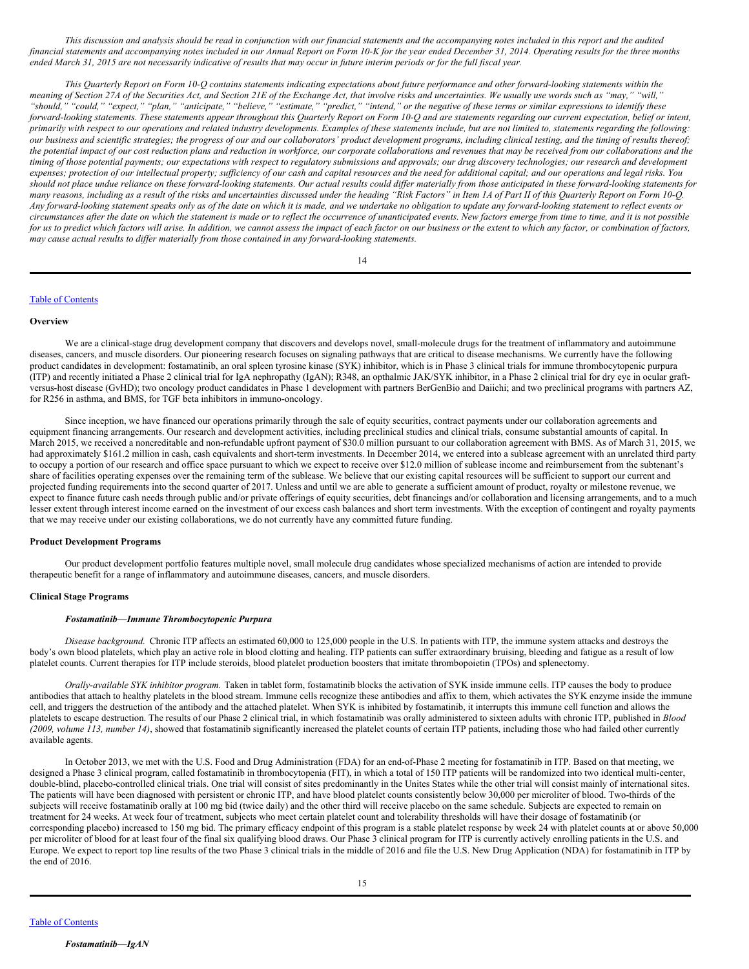This discussion and analysis should be read in conjunction with our financial statements and the accompanying notes included in this report and the audited financial statements and accompanying notes included in our Annual Report on Form 10-K for the year ended December 31, 2014. Operating results for the three months ended March 31, 2015 are not necessarily indicative of results that may occur in future interim periods or for the full fiscal year.

This Quarterly Report on Form 10-Q contains statements indicating expectations about future performance and other forward-looking statements within the meaning of Section 27A of the Securities Act, and Section 21E of the Exchange Act, that involve risks and uncertainties. We usually use words such as "may," "will," "should," "could," "expect," "plan," "anticipate," "believe," "estimate," "predict," "intend," or the negative of these terms or similar expressions to identify these forward-looking statements. These statements appear throughout this Quarterly Report on Form 10-Q and are statements regarding our current expectation, belief or intent, primarily with respect to our operations and related industry developments. Examples of these statements include, but are not limited to, statements regarding the following: our business and scientific strategies; the progress of our and our collaborators' product development programs, including clinical testing, and the timing of results thereof; the potential impact of our cost reduction plans and reduction in workforce, our corporate collaborations and revenues that may be received from our collaborations and the timing of those potential payments; our expectations with respect to regulatory submissions and approvals; our drug discovery technologies; our research and development expenses; protection of our intellectual property; sufficiency of our cash and capital resources and the need for additional capital; and our operations and legal risks. You should not place undue reliance on these forward-looking statements. Our actual results could differ materially from those anticipated in these forward-looking statements for many reasons, including as a result of the risks and uncertainties discussed under the heading "Risk Factors" in Item 1A of Part II of this Quarterly Report on Form 10-Q. Any forward-looking statement speaks only as of the date on which it is made, and we undertake no obligation to update any forward-looking statement to reflect events or circumstances after the date on which the statement is made or to reflect the occurrence of unanticipated events. New factors emerge from time to time, and it is not possible for us to predict which factors will arise. In addition, we cannot assess the impact of each factor on our business or the extent to which any factor, or combination of factors, *may cause actual results to dif er materially from those contained in any forward-looking statements.*

14

#### Table of [Contents](#page-0-0)

#### **Overview**

We are a clinical-stage drug development company that discovers and develops novel, small-molecule drugs for the treatment of inflammatory and autoimmune diseases, cancers, and muscle disorders. Our pioneering research focuses on signaling pathways that are critical to disease mechanisms. We currently have the following product candidates in development: fostamatinib, an oral spleen tyrosine kinase (SYK) inhibitor, which is in Phase 3 clinical trials for immune thrombocytopenic purpura (ITP) and recently initiated a Phase 2 clinical trial for IgA nephropathy (IgAN); R348, an opthalmic JAK/SYK inhibitor, in a Phase 2 clinical trial for dry eye in ocular graftversus-host disease (GvHD); two oncology product candidates in Phase 1 development with partners BerGenBio and Daiichi; and two preclinical programs with partners AZ, for R256 in asthma, and BMS, for TGF beta inhibitors in immuno-oncology.

Since inception, we have financed our operations primarily through the sale of equity securities, contract payments under our collaboration agreements and equipment financing arrangements. Our research and development activities, including preclinical studies and clinical trials, consume substantial amounts of capital. In March 2015, we received a noncreditable and non-refundable upfront payment of \$30.0 million pursuant to our collaboration agreement with BMS. As of March 31, 2015, we had approximately \$161.2 million in cash, cash equivalents and short-term investments. In December 2014, we entered into a sublease agreement with an unrelated third party to occupy a portion of our research and office space pursuant to which we expect to receive over \$12.0 million of sublease income and reimbursement from the subtenant's share of facilities operating expenses over the remaining term of the sublease. We believe that our existing capital resources will be sufficient to support our current and projected funding requirements into the second quarter of 2017. Unless and until we are able to generate a sufficient amount of product, royalty or milestone revenue, we expect to finance future cash needs through public and/or private offerings of equity securities, debt financings and/or collaboration and licensing arrangements, and to a much lesser extent through interest income earned on the investment of our excess cash balances and short term investments. With the exception of contingent and royalty payments that we may receive under our existing collaborations, we do not currently have any committed future funding.

#### **Product Development Programs**

Our product development portfolio features multiple novel, small molecule drug candidates whose specialized mechanisms of action are intended to provide therapeutic benefit for a range of inflammatory and autoimmune diseases, cancers, and muscle disorders.

## **Clinical Stage Programs**

#### *Fostamatinib—Immune Thrombocytopenic Purpura*

*Disease background.* Chronic ITP affects an estimated 60,000 to 125,000 people in the U.S. In patients with ITP, the immune system attacks and destroys the body's own blood platelets, which play an active role in blood clotting and healing. ITP patients can suffer extraordinary bruising, bleeding and fatigue as a result of low platelet counts. Current therapies for ITP include steroids, blood platelet production boosters that imitate thrombopoietin (TPOs) and splenectomy.

*Orally-available SYK inhibitor program.* Taken in tablet form, fostamatinib blocks the activation of SYK inside immune cells. ITP causes the body to produce antibodies that attach to healthy platelets in the blood stream. Immune cells recognize these antibodies and affix to them, which activates the SYK enzyme inside the immune cell, and triggers the destruction of the antibody and the attached platelet. When SYK is inhibited by fostamatinib, it interrupts this immune cell function and allows the platelets to escape destruction. The results of our Phase 2 clinical trial, in which fostamatinib was orally administered to sixteen adults with chronic ITP, published in *Blood (2009, volume 113, number 14)*, showed that fostamatinib significantly increased the platelet counts of certain ITP patients, including those who had failed other currently available agents.

In October 2013, we met with the U.S. Food and Drug Administration (FDA) for an end-of-Phase 2 meeting for fostamatinib in ITP. Based on that meeting, we designed a Phase 3 clinical program, called fostamatinib in thrombocytopenia (FIT), in which a total of 150 ITP patients will be randomized into two identical multi-center, double-blind, placebo-controlled clinical trials. One trial will consist of sites predominantly in the Unites States while the other trial will consist mainly of international sites. The patients will have been diagnosed with persistent or chronic ITP, and have blood platelet counts consistently below 30,000 per microliter of blood. Two-thirds of the subjects will receive fostamatinib orally at 100 mg bid (twice daily) and the other third will receive placebo on the same schedule. Subjects are expected to remain on treatment for 24 weeks. At week four of treatment, subjects who meet certain platelet count and tolerability thresholds will have their dosage of fostamatinib (or corresponding placebo) increased to 150 mg bid. The primary efficacy endpoint of this program is a stable platelet response by week 24 with platelet counts at or above 50,000 per microliter of blood for at least four of the final six qualifying blood draws. Our Phase 3 clinical program for ITP is currently actively enrolling patients in the U.S. and Europe. We expect to report top line results of the two Phase 3 clinical trials in the middle of 2016 and file the U.S. New Drug Application (NDA) for fostamatinib in ITP by the end of 2016.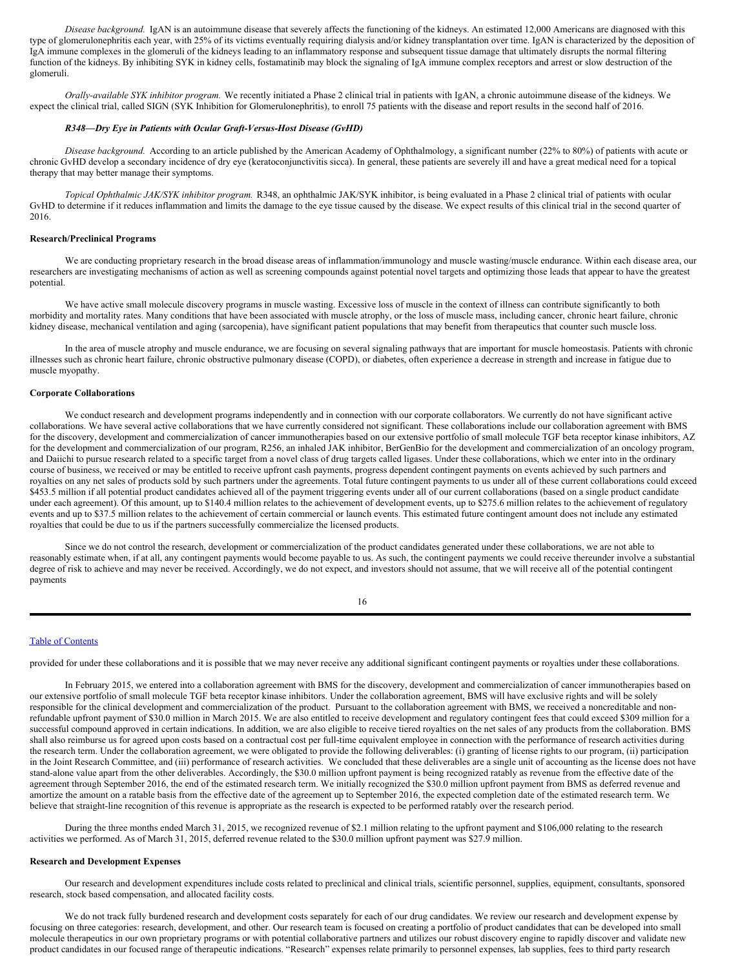*Disease background.* IgAN is an autoimmune disease that severely affects the functioning of the kidneys. An estimated 12,000 Americans are diagnosed with this type of glomerulonephritis each year, with 25% of its victims eventually requiring dialysis and/or kidney transplantation over time. IgAN is characterized by the deposition of IgA immune complexes in the glomeruli of the kidneys leading to an inflammatory response and subsequent tissue damage that ultimately disrupts the normal filtering function of the kidneys. By inhibiting SYK in kidney cells, fostamatinib may block the signaling of IgA immune complex receptors and arrest or slow destruction of the glomeruli.

*Orally-available SYK inhibitor program.* We recently initiated a Phase 2 clinical trial in patients with IgAN, a chronic autoimmune disease of the kidneys. We expect the clinical trial, called SIGN (SYK Inhibition for Glomerulonephritis), to enroll 75 patients with the disease and report results in the second half of 2016.

## *R348—Dry Eye in Patients with Ocular Graft-Versus-Host Disease (GvHD)*

*Disease background.* According to an article published by the American Academy of Ophthalmology, a significant number (22% to 80%) of patients with acute or chronic GvHD develop a secondary incidence of dry eye (keratoconjunctivitis sicca). In general, these patients are severely ill and have a great medical need for a topical therapy that may better manage their symptoms.

*Topical Ophthalmic JAK/SYK inhibitor program.* R348, an ophthalmic JAK/SYK inhibitor, is being evaluated in a Phase 2 clinical trial of patients with ocular GvHD to determine if it reduces inflammation and limits the damage to the eye tissue caused by the disease. We expect results of this clinical trial in the second quarter of 2016.

#### **Research/Preclinical Programs**

We are conducting proprietary research in the broad disease areas of inflammation/immunology and muscle wasting/muscle endurance. Within each disease area, our researchers are investigating mechanisms of action as well as screening compounds against potential novel targets and optimizing those leads that appear to have the greatest potential.

We have active small molecule discovery programs in muscle wasting. Excessive loss of muscle in the context of illness can contribute significantly to both morbidity and mortality rates. Many conditions that have been associated with muscle atrophy, or the loss of muscle mass, including cancer, chronic heart failure, chronic kidney disease, mechanical ventilation and aging (sarcopenia), have significant patient populations that may benefit from therapeutics that counter such muscle loss.

In the area of muscle atrophy and muscle endurance, we are focusing on several signaling pathways that are important for muscle homeostasis. Patients with chronic illnesses such as chronic heart failure, chronic obstructive pulmonary disease (COPD), or diabetes, often experience a decrease in strength and increase in fatigue due to muscle myopathy.

#### **Corporate Collaborations**

We conduct research and development programs independently and in connection with our corporate collaborators. We currently do not have significant active collaborations. We have several active collaborations that we have currently considered not significant. These collaborations include our collaboration agreement with BMS for the discovery, development and commercialization of cancer immunotherapies based on our extensive portfolio of small molecule TGF beta receptor kinase inhibitors, AZ for the development and commercialization of our program, R256, an inhaled JAK inhibitor, BerGenBio for the development and commercialization of an oncology program, and Daiichi to pursue research related to a specific target from a novel class of drug targets called ligases. Under these collaborations, which we enter into in the ordinary course of business, we received or may be entitled to receive upfront cash payments, progress dependent contingent payments on events achieved by such partners and royalties on any net sales of products sold by such partners under the agreements. Total future contingent payments to us under all of these current collaborations could exceed \$453.5 million if all potential product candidates achieved all of the payment triggering events under all of our current collaborations (based on a single product candidate under each agreement). Of this amount, up to \$140.4 million relates to the achievement of development events, up to \$275.6 million relates to the achievement of regulatory events and up to \$37.5 million relates to the achievement of certain commercial or launch events. This estimated future contingent amount does not include any estimated royalties that could be due to us if the partners successfully commercialize the licensed products.

Since we do not control the research, development or commercialization of the product candidates generated under these collaborations, we are not able to reasonably estimate when, if at all, any contingent payments would become payable to us. As such, the contingent payments we could receive thereunder involve a substantial degree of risk to achieve and may never be received. Accordingly, we do not expect, and investors should not assume, that we will receive all of the potential contingent payments

#### Table of [Contents](#page-0-0)

provided for under these collaborations and it is possible that we may never receive any additional significant contingent payments or royalties under these collaborations.

In February 2015, we entered into a collaboration agreement with BMS for the discovery, development and commercialization of cancer immunotherapies based on our extensive portfolio of small molecule TGF beta receptor kinase inhibitors. Under the collaboration agreement, BMS will have exclusive rights and will be solely responsible for the clinical development and commercialization of the product. Pursuant to the collaboration agreement with BMS, we received a noncreditable and nonrefundable upfront payment of \$30.0 million in March 2015. We are also entitled to receive development and regulatory contingent fees that could exceed \$309 million for a successful compound approved in certain indications. In addition, we are also eligible to receive tiered royalties on the net sales of any products from the collaboration. BMS shall also reimburse us for agreed upon costs based on a contractual cost per full-time equivalent employee in connection with the performance of research activities during the research term. Under the collaboration agreement, we were obligated to provide the following deliverables: (i) granting of license rights to our program, (ii) participation in the Joint Research Committee, and (iii) performance of research activities. We concluded that these deliverables are a single unit of accounting as the license does not have stand-alone value apart from the other deliverables. Accordingly, the \$30.0 million upfront payment is being recognized ratably as revenue from the effective date of the agreement through September 2016, the end of the estimated research term. We initially recognized the \$30.0 million upfront payment from BMS as deferred revenue and amortize the amount on a ratable basis from the effective date of the agreement up to September 2016, the expected completion date of the estimated research term. We believe that straight-line recognition of this revenue is appropriate as the research is expected to be performed ratably over the research period.

During the three months ended March 31, 2015, we recognized revenue of \$2.1 million relating to the upfront payment and \$106,000 relating to the research activities we performed. As of March 31, 2015, deferred revenue related to the \$30.0 million upfront payment was \$27.9 million.

#### **Research and Development Expenses**

Our research and development expenditures include costs related to preclinical and clinical trials, scientific personnel, supplies, equipment, consultants, sponsored research, stock based compensation, and allocated facility costs.

We do not track fully burdened research and development costs separately for each of our drug candidates. We review our research and development expense by focusing on three categories: research, development, and other. Our research team is focused on creating a portfolio of product candidates that can be developed into small molecule therapeutics in our own proprietary programs or with potential collaborative partners and utilizes our robust discovery engine to rapidly discover and validate new product candidates in our focused range of therapeutic indications. "Research" expenses relate primarily to personnel expenses, lab supplies, fees to third party research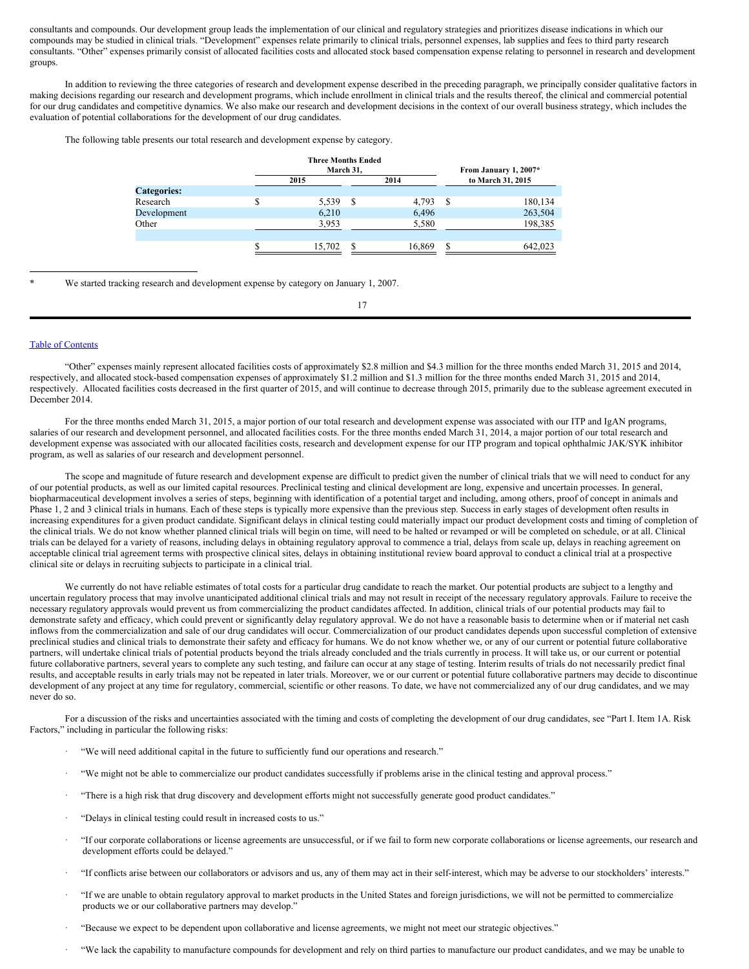consultants and compounds. Our development group leads the implementation of our clinical and regulatory strategies and prioritizes disease indications in which our compounds may be studied in clinical trials. "Development" expenses relate primarily to clinical trials, personnel expenses, lab supplies and fees to third party research consultants. "Other" expenses primarily consist of allocated facilities costs and allocated stock based compensation expense relating to personnel in research and development groups.

In addition to reviewing the three categories of research and development expense described in the preceding paragraph, we principally consider qualitative factors in making decisions regarding our research and development programs, which include enrollment in clinical trials and the results thereof, the clinical and commercial potential for our drug candidates and competitive dynamics. We also make our research and development decisions in the context of our overall business strategy, which includes the evaluation of potential collaborations for the development of our drug candidates.

The following table presents our total research and development expense by category.

|                    | From January 1, 2007* |      |        |   |                   |
|--------------------|-----------------------|------|--------|---|-------------------|
|                    | 2015                  | 2014 |        |   | to March 31, 2015 |
| <b>Categories:</b> |                       |      |        |   |                   |
| Research           | 5,539                 | S    | 4,793  | S | 180,134           |
| Development        | 6,210                 |      | 6,496  |   | 263,504           |
| Other              | 3,953                 |      | 5,580  |   | 198,385           |
|                    |                       |      |        |   |                   |
|                    | 15,702                |      | 16,869 | ¢ | 642,023           |

We started tracking research and development expense by category on January 1, 2007.

17

## Table of [Contents](#page-0-0)

"Other" expenses mainly represent allocated facilities costs of approximately \$2.8 million and \$4.3 million for the three months ended March 31, 2015 and 2014, respectively, and allocated stock-based compensation expenses of approximately \$1.2 million and \$1.3 million for the three months ended March 31, 2015 and 2014, respectively. Allocated facilities costs decreased in the first quarter of 2015, and will continue to decrease through 2015, primarily due to the sublease agreement executed in December 2014.

For the three months ended March 31, 2015, a major portion of our total research and development expense was associated with our ITP and IgAN programs, salaries of our research and development personnel, and allocated facilities costs. For the three months ended March 31, 2014, a major portion of our total research and development expense was associated with our allocated facilities costs, research and development expense for our ITP program and topical ophthalmic JAK/SYK inhibitor program, as well as salaries of our research and development personnel.

The scope and magnitude of future research and development expense are difficult to predict given the number of clinical trials that we will need to conduct for any of our potential products, as well as our limited capital resources. Preclinical testing and clinical development are long, expensive and uncertain processes. In general, biopharmaceutical development involves a series of steps, beginning with identification of a potential target and including, among others, proof of concept in animals and Phase 1, 2 and 3 clinical trials in humans. Each of these steps is typically more expensive than the previous step. Success in early stages of development often results in increasing expenditures for a given product candidate. Significant delays in clinical testing could materially impact our product development costs and timing of completion of the clinical trials. We do not know whether planned clinical trials will begin on time, will need to be halted or revamped or will be completed on schedule, or at all. Clinical trials can be delayed for a variety of reasons, including delays in obtaining regulatory approval to commence a trial, delays from scale up, delays in reaching agreement on acceptable clinical trial agreement terms with prospective clinical sites, delays in obtaining institutional review board approval to conduct a clinical trial at a prospective clinical site or delays in recruiting subjects to participate in a clinical trial.

We currently do not have reliable estimates of total costs for a particular drug candidate to reach the market. Our potential products are subject to a lengthy and uncertain regulatory process that may involve unanticipated additional clinical trials and may not result in receipt of the necessary regulatory approvals. Failure to receive the necessary regulatory approvals would prevent us from commercializing the product candidates affected. In addition, clinical trials of our potential products may fail to demonstrate safety and efficacy, which could prevent or significantly delay regulatory approval. We do not have a reasonable basis to determine when or if material net cash inflows from the commercialization and sale of our drug candidates will occur. Commercialization of our product candidates depends upon successful completion of extensive preclinical studies and clinical trials to demonstrate their safety and efficacy for humans. We do not know whether we, or any of our current or potential future collaborative partners, will undertake clinical trials of potential products beyond the trials already concluded and the trials currently in process. It will take us, or our current or potential future collaborative partners, several years to complete any such testing, and failure can occur at any stage of testing. Interim results of trials do not necessarily predict final results, and acceptable results in early trials may not be repeated in later trials. Moreover, we or our current or potential future collaborative partners may decide to discontinue development of any project at any time for regulatory, commercial, scientific or other reasons. To date, we have not commercialized any of our drug candidates, and we may never do so.

For a discussion of the risks and uncertainties associated with the timing and costs of completing the development of our drug candidates, see "Part I. Item 1A. Risk Factors," including in particular the following risks:

- · "We will need additional capital in the future to sufficiently fund our operations and research."
- · "We might not be able to commercialize our product candidates successfully if problems arise in the clinical testing and approval process."
- · "There is a high risk that drug discovery and development efforts might not successfully generate good product candidates."
- · "Delays in clinical testing could result in increased costs to us."
- · "If our corporate collaborations or license agreements are unsuccessful, or if we fail to form new corporate collaborations or license agreements, our research and development efforts could be delayed."
- · "If conflicts arise between our collaborators or advisors and us, any of them may act in their self-interest, which may be adverse to our stockholders' interests."
- · "If we are unable to obtain regulatory approval to market products in the United States and foreign jurisdictions, we will not be permitted to commercialize products we or our collaborative partners may develop."
- · "Because we expect to be dependent upon collaborative and license agreements, we might not meet our strategic objectives."
- · "We lack the capability to manufacture compounds for development and rely on third parties to manufacture our product candidates, and we may be unable to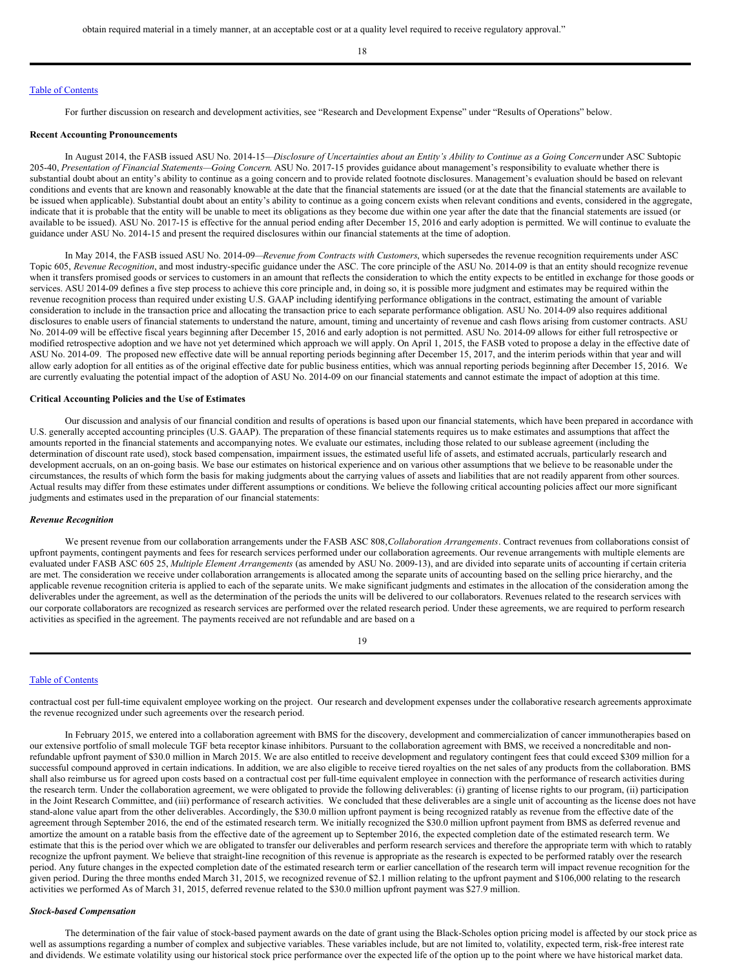18

#### Table of [Contents](#page-0-0)

For further discussion on research and development activities, see "Research and Development Expense" under "Results of Operations" below.

#### **Recent Accounting Pronouncements**

In August 2014, the FASB issued ASU No. 2014-15-Disclosure of Uncertainties about an Entity's Ability to Continue as a Going Concernunder ASC Subtopic 205-40, *Presentation of Financial Statements—Going Concern*. ASU No. 2017-15 provides guidance about management's responsibility to evaluate whether there is substantial doubt about an entity's ability to continue as a going concern and to provide related footnote disclosures. Management's evaluation should be based on relevant conditions and events that are known and reasonably knowable at the date that the financial statements are issued (or at the date that the financial statements are available to be issued when applicable). Substantial doubt about an entity's ability to continue as a going concern exists when relevant conditions and events, considered in the aggregate, indicate that it is probable that the entity will be unable to meet its obligations as they become due within one year after the date that the financial statements are issued (or available to be issued). ASU No. 2017-15 is effective for the annual period ending after December 15, 2016 and early adoption is permitted. We will continue to evaluate the guidance under ASU No. 2014-15 and present the required disclosures within our financial statements at the time of adoption.

In May 2014, the FASB issued ASU No. 2014-09—*Revenue from Contracts with Customers*, which supersedes the revenue recognition requirements under ASC Topic 605, *Revenue Recognition*, and most industry-specific guidance under the ASC. The core principle of the ASU No. 2014-09 is that an entity should recognize revenue when it transfers promised goods or services to customers in an amount that reflects the consideration to which the entity expects to be entitled in exchange for those goods or services. ASU 2014-09 defines a five step process to achieve this core principle and, in doing so, it is possible more judgment and estimates may be required within the revenue recognition process than required under existing U.S. GAAP including identifying performance obligations in the contract, estimating the amount of variable consideration to include in the transaction price and allocating the transaction price to each separate performance obligation. ASU No. 2014-09 also requires additional disclosures to enable users of financial statements to understand the nature, amount, timing and uncertainty of revenue and cash flows arising from customer contracts. ASU No. 2014-09 will be effective fiscal years beginning after December 15, 2016 and early adoption is not permitted. ASU No. 2014-09 allows for either full retrospective or modified retrospective adoption and we have not yet determined which approach we will apply. On April 1, 2015, the FASB voted to propose a delay in the effective date of ASU No. 2014-09. The proposed new effective date will be annual reporting periods beginning after December 15, 2017, and the interim periods within that year and will allow early adoption for all entities as of the original effective date for public business entities, which was annual reporting periods beginning after December 15, 2016. We are currently evaluating the potential impact of the adoption of ASU No. 2014-09 on our financial statements and cannot estimate the impact of adoption at this time.

#### **Critical Accounting Policies and the Use of Estimates**

Our discussion and analysis of our financial condition and results of operations is based upon our financial statements, which have been prepared in accordance with U.S. generally accepted accounting principles (U.S. GAAP). The preparation of these financial statements requires us to make estimates and assumptions that affect the amounts reported in the financial statements and accompanying notes. We evaluate our estimates, including those related to our sublease agreement (including the determination of discount rate used), stock based compensation, impairment issues, the estimated useful life of assets, and estimated accruals, particularly research and development accruals, on an on-going basis. We base our estimates on historical experience and on various other assumptions that we believe to be reasonable under the circumstances, the results of which form the basis for making judgments about the carrying values of assets and liabilities that are not readily apparent from other sources. Actual results may differ from these estimates under different assumptions or conditions. We believe the following critical accounting policies affect our more significant judgments and estimates used in the preparation of our financial statements:

#### *Revenue Recognition*

We present revenue from our collaboration arrangements under the FASB ASC 808,*Collaboration Arrangements*. Contract revenues from collaborations consist of upfront payments, contingent payments and fees for research services performed under our collaboration agreements. Our revenue arrangements with multiple elements are evaluated under FASB ASC 605 25, *Multiple Element Arrangements* (as amended by ASU No. 2009-13), and are divided into separate units of accounting if certain criteria are met. The consideration we receive under collaboration arrangements is allocated among the separate units of accounting based on the selling price hierarchy, and the applicable revenue recognition criteria is applied to each of the separate units. We make significant judgments and estimates in the allocation of the consideration among the deliverables under the agreement, as well as the determination of the periods the units will be delivered to our collaborators. Revenues related to the research services with our corporate collaborators are recognized as research services are performed over the related research period. Under these agreements, we are required to perform research activities as specified in the agreement. The payments received are not refundable and are based on a

19

#### Table of [Contents](#page-0-0)

contractual cost per full-time equivalent employee working on the project. Our research and development expenses under the collaborative research agreements approximate the revenue recognized under such agreements over the research period.

In February 2015, we entered into a collaboration agreement with BMS for the discovery, development and commercialization of cancer immunotherapies based on our extensive portfolio of small molecule TGF beta receptor kinase inhibitors. Pursuant to the collaboration agreement with BMS, we received a noncreditable and nonrefundable upfront payment of \$30.0 million in March 2015. We are also entitled to receive development and regulatory contingent fees that could exceed \$309 million for a successful compound approved in certain indications. In addition, we are also eligible to receive tiered royalties on the net sales of any products from the collaboration. BMS shall also reimburse us for agreed upon costs based on a contractual cost per full-time equivalent employee in connection with the performance of research activities during the research term. Under the collaboration agreement, we were obligated to provide the following deliverables: (i) granting of license rights to our program, (ii) participation in the Joint Research Committee, and (iii) performance of research activities. We concluded that these deliverables are a single unit of accounting as the license does not have stand-alone value apart from the other deliverables. Accordingly, the \$30.0 million upfront payment is being recognized ratably as revenue from the effective date of the agreement through September 2016, the end of the estimated research term. We initially recognized the \$30.0 million upfront payment from BMS as deferred revenue and amortize the amount on a ratable basis from the effective date of the agreement up to September 2016, the expected completion date of the estimated research term. We estimate that this is the period over which we are obligated to transfer our deliverables and perform research services and therefore the appropriate term with which to ratably recognize the upfront payment. We believe that straight-line recognition of this revenue is appropriate as the research is expected to be performed ratably over the research period. Any future changes in the expected completion date of the estimated research term or earlier cancellation of the research term will impact revenue recognition for the given period. During the three months ended March 31, 2015, we recognized revenue of \$2.1 million relating to the upfront payment and \$106,000 relating to the research activities we performed As of March 31, 2015, deferred revenue related to the \$30.0 million upfront payment was \$27.9 million.

#### *Stock-based Compensation*

The determination of the fair value of stock-based payment awards on the date of grant using the Black-Scholes option pricing model is affected by our stock price as well as assumptions regarding a number of complex and subjective variables. These variables include, but are not limited to, volatility, expected term, risk-free interest rate and dividends. We estimate volatility using our historical stock price performance over the expected life of the option up to the point where we have historical market data.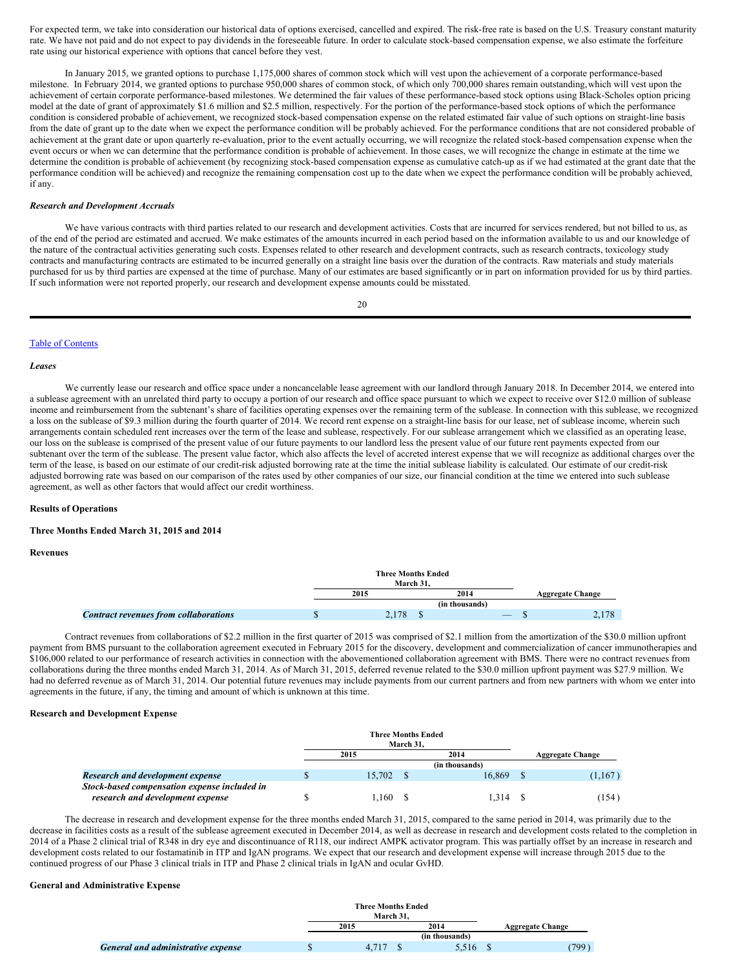For expected term, we take into consideration our historical data of options exercised, cancelled and expired. The risk-free rate is based on the U.S. Treasury constant maturity rate. We have not paid and do not expect to pay dividends in the foreseeable future. In order to calculate stock-based compensation expense, we also estimate the forfeiture rate using our historical experience with options that cancel before they vest.

In January 2015, we granted options to purchase 1,175,000 shares of common stock which will vest upon the achievement of a corporate performance-based milestone. In February 2014, we granted options to purchase 950,000 shares of common stock, of which only 700,000 shares remain outstanding,which will vest upon the achievement of certain corporate performance-based milestones. We determined the fair values of these performance-based stock options using Black-Scholes option pricing model at the date of grant of approximately \$1.6 million and \$2.5 million, respectively. For the portion of the performance-based stock options of which the performance condition is considered probable of achievement, we recognized stock-based compensation expense on the related estimated fair value of such options on straight-line basis from the date of grant up to the date when we expect the performance condition will be probably achieved. For the performance conditions that are not considered probable of achievement at the grant date or upon quarterly re-evaluation, prior to the event actually occurring, we will recognize the related stock-based compensation expense when the event occurs or when we can determine that the performance condition is probable of achievement. In those cases, we will recognize the change in estimate at the time we determine the condition is probable of achievement (by recognizing stock-based compensation expense as cumulative catch-up as if we had estimated at the grant date that the performance condition will be achieved) and recognize the remaining compensation cost up to the date when we expect the performance condition will be probably achieved, if any.

#### *Research and Development Accruals*

We have various contracts with third parties related to our research and development activities. Costs that are incurred for services rendered, but not billed to us, as of the end of the period are estimated and accrued. We make estimates of the amounts incurred in each period based on the information available to us and our knowledge of the nature of the contractual activities generating such costs. Expenses related to other research and development contracts, such as research contracts, toxicology study contracts and manufacturing contracts are estimated to be incurred generally on a straight line basis over the duration of the contracts. Raw materials and study materials purchased for us by third parties are expensed at the time of purchase. Many of our estimates are based significantly or in part on information provided for us by third parties. If such information were not reported properly, our research and development expense amounts could be misstated.

20

#### Table of [Contents](#page-0-0)

#### *Leases*

We currently lease our research and office space under a noncancelable lease agreement with our landlord through January 2018. In December 2014, we entered into a sublease agreement with an unrelated third party to occupy a portion of our research and office space pursuant to which we expect to receive over \$12.0 million of sublease income and reimbursement from the subtenant's share of facilities operating expenses over the remaining term of the sublease. In connection with this sublease, we recognized a loss on the sublease of \$9.3 million during the fourth quarter of 2014. We record rent expense on a straight-line basis for our lease, net of sublease income, wherein such arrangements contain scheduled rent increases over the term of the lease and sublease, respectively. For our sublease arrangement which we classified as an operating lease, our loss on the sublease is comprised of the present value of our future payments to our landlord less the present value of our future rent payments expected from our subtenant over the term of the sublease. The present value factor, which also affects the level of accreted interest expense that we will recognize as additional charges over the term of the lease, is based on our estimate of our credit-risk adjusted borrowing rate at the time the initial sublease liability is calculated. Our estimate of our credit-risk adjusted borrowing rate was based on our comparison of the rates used by other companies of our size, our financial condition at the time we entered into such sublease agreement, as well as other factors that would affect our credit worthiness.

## **Results of Operations**

## **Three Months Ended March 31, 2015 and 2014**

### **Revenues**

|                                              | <b>Three Months Ended</b><br>March 31. |                |                         |
|----------------------------------------------|----------------------------------------|----------------|-------------------------|
|                                              | 2015                                   | 2014           | <b>Aggregate Change</b> |
|                                              |                                        | (in thousands) |                         |
| <b>Contract revenues from collaborations</b> | 2.178                                  |                | 2.178                   |

Contract revenues from collaborations of \$2.2 million in the first quarter of 2015 was comprised of \$2.1 million from the amortization of the \$30.0 million upfront payment from BMS pursuant to the collaboration agreement executed in February 2015 for the discovery, development and commercialization of cancer immunotherapies and \$106,000 related to our performance of research activities in connection with the abovementioned collaboration agreement with BMS. There were no contract revenues from collaborations during the three months ended March 31, 2014. As of March 31, 2015, deferred revenue related to the \$30.0 million upfront payment was \$27.9 million. We had no deferred revenue as of March 31, 2014. Our potential future revenues may include payments from our current partners and from new partners with whom we enter into agreements in the future, if any, the timing and amount of which is unknown at this time.

## **Research and Development Expense**

|                                              | <b>Three Months Ended</b> | March 31. |                |                         |
|----------------------------------------------|---------------------------|-----------|----------------|-------------------------|
|                                              | 2015                      |           | 2014           | <b>Aggregate Change</b> |
|                                              |                           |           | (in thousands) |                         |
| Research and development expense             | 15,702                    |           | 16.869         | (1,167)                 |
| Stock-based compensation expense included in |                           |           |                |                         |
| research and development expense             | 160                       |           | 1.314          | 154)                    |

The decrease in research and development expense for the three months ended March 31, 2015, compared to the same period in 2014, was primarily due to the decrease in facilities costs as a result of the sublease agreement executed in December 2014, as well as decrease in research and development costs related to the completion in 2014 of a Phase 2 clinical trial of R348 in dry eye and discontinuance of R118, our indirect AMPK activator program. This was partially offset by an increase in research and development costs related to our fostamatinib in ITP and IgAN programs. We expect that our research and development expense will increase through 2015 due to the continued progress of our Phase 3 clinical trials in ITP and Phase 2 clinical trials in IgAN and ocular GvHD.

#### **General and Administrative Expense**

|                                    | <b>Three Months Ended</b><br>March 31. |                |                         |
|------------------------------------|----------------------------------------|----------------|-------------------------|
|                                    | 2015                                   | 2014           | <b>Aggregate Change</b> |
|                                    |                                        | (in thousands) |                         |
| General and administrative expense | 4.71                                   | 5.516          | (799)                   |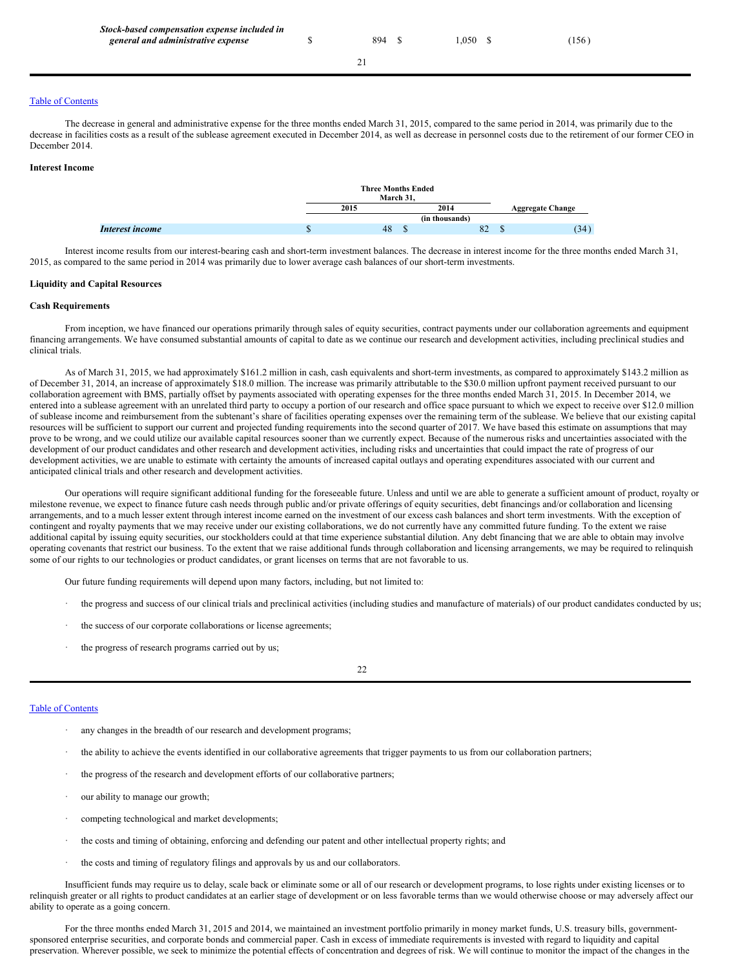| Stock-based compensation expense included in |     |      |       |
|----------------------------------------------|-----|------|-------|
| general and administrative expense           | 894 | .050 | (156) |
|                                              |     |      |       |

## 21

#### Table of [Contents](#page-0-0)

The decrease in general and administrative expense for the three months ended March 31, 2015, compared to the same period in 2014, was primarily due to the decrease in facilities costs as a result of the sublease agreement executed in December 2014, as well as decrease in personnel costs due to the retirement of our former CEO in December 2014.

## **Interest Income**



Interest income results from our interest-bearing cash and short-term investment balances. The decrease in interest income for the three months ended March 31, 2015, as compared to the same period in 2014 was primarily due to lower average cash balances of our short-term investments.

## **Liquidity and Capital Resources**

#### **Cash Requirements**

From inception, we have financed our operations primarily through sales of equity securities, contract payments under our collaboration agreements and equipment financing arrangements. We have consumed substantial amounts of capital to date as we continue our research and development activities, including preclinical studies and clinical trials.

As of March 31, 2015, we had approximately \$161.2 million in cash, cash equivalents and short-term investments, as compared to approximately \$143.2 million as of December 31, 2014, an increase of approximately \$18.0 million. The increase was primarily attributable to the \$30.0 million upfront payment received pursuant to our collaboration agreement with BMS, partially offset by payments associated with operating expenses for the three months ended March 31, 2015. In December 2014, we entered into a sublease agreement with an unrelated third party to occupy a portion of our research and office space pursuant to which we expect to receive over \$12.0 million of sublease income and reimbursement from the subtenant's share of facilities operating expenses over the remaining term of the sublease. We believe that our existing capital resources will be sufficient to support our current and projected funding requirements into the second quarter of 2017. We have based this estimate on assumptions that may prove to be wrong, and we could utilize our available capital resources sooner than we currently expect. Because of the numerous risks and uncertainties associated with the development of our product candidates and other research and development activities, including risks and uncertainties that could impact the rate of progress of our development activities, we are unable to estimate with certainty the amounts of increased capital outlays and operating expenditures associated with our current and anticipated clinical trials and other research and development activities.

Our operations will require significant additional funding for the foreseeable future. Unless and until we are able to generate a sufficient amount of product, royalty or milestone revenue, we expect to finance future cash needs through public and/or private offerings of equity securities, debt financings and/or collaboration and licensing arrangements, and to a much lesser extent through interest income earned on the investment of our excess cash balances and short term investments. With the exception of contingent and royalty payments that we may receive under our existing collaborations, we do not currently have any committed future funding. To the extent we raise additional capital by issuing equity securities, our stockholders could at that time experience substantial dilution. Any debt financing that we are able to obtain may involve operating covenants that restrict our business. To the extent that we raise additional funds through collaboration and licensing arrangements, we may be required to relinquish some of our rights to our technologies or product candidates, or grant licenses on terms that are not favorable to us.

Our future funding requirements will depend upon many factors, including, but not limited to:

- the progress and success of our clinical trials and preclinical activities (including studies and manufacture of materials) of our product candidates conducted by us;
- the success of our corporate collaborations or license agreements;
- the progress of research programs carried out by us;

22

#### Table of [Contents](#page-0-0)

- any changes in the breadth of our research and development programs;
- the ability to achieve the events identified in our collaborative agreements that trigger payments to us from our collaboration partners;
- the progress of the research and development efforts of our collaborative partners;
- our ability to manage our growth;
- competing technological and market developments;
- the costs and timing of obtaining, enforcing and defending our patent and other intellectual property rights; and
- the costs and timing of regulatory filings and approvals by us and our collaborators.

Insufficient funds may require us to delay, scale back or eliminate some or all of our research or development programs, to lose rights under existing licenses or to relinquish greater or all rights to product candidates at an earlier stage of development or on less favorable terms than we would otherwise choose or may adversely affect our ability to operate as a going concern.

For the three months ended March 31, 2015 and 2014, we maintained an investment portfolio primarily in money market funds, U.S. treasury bills, governmentsponsored enterprise securities, and corporate bonds and commercial paper. Cash in excess of immediate requirements is invested with regard to liquidity and capital preservation. Wherever possible, we seek to minimize the potential effects of concentration and degrees of risk. We will continue to monitor the impact of the changes in the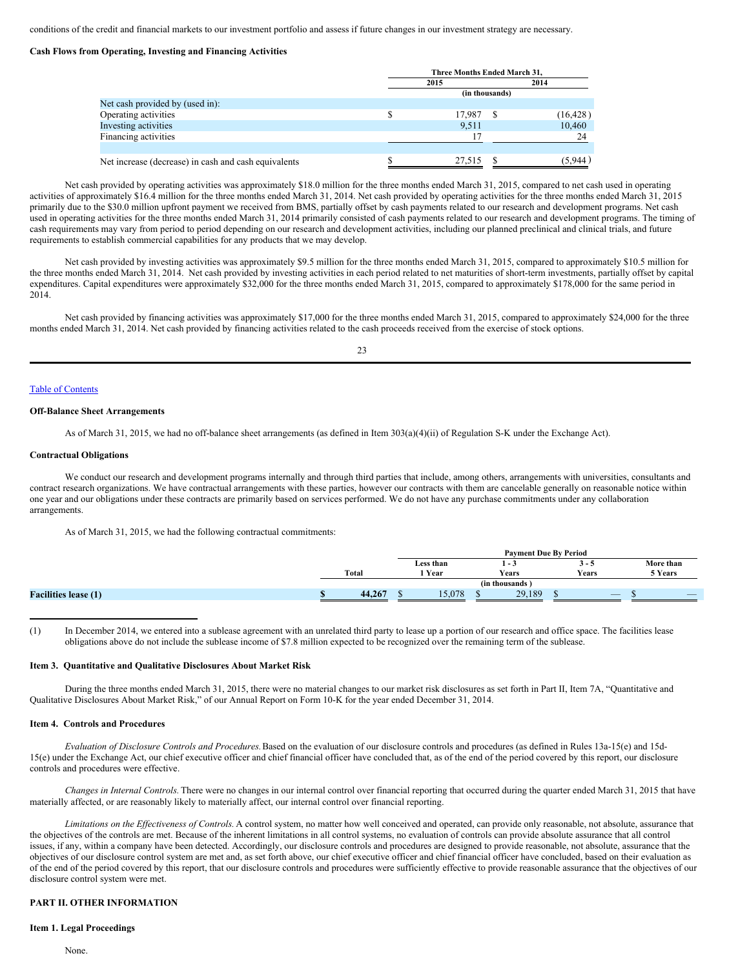conditions of the credit and financial markets to our investment portfolio and assess if future changes in our investment strategy are necessary.

#### **Cash Flows from Operating, Investing and Financing Activities**

|                                                      | Three Months Ended March 31, |                |    |           |  |  |
|------------------------------------------------------|------------------------------|----------------|----|-----------|--|--|
|                                                      |                              | 2015           |    | 2014      |  |  |
|                                                      |                              | (in thousands) |    |           |  |  |
| Net cash provided by (used in):                      |                              |                |    |           |  |  |
| Operating activities                                 |                              | 17,987         | -S | (16, 428) |  |  |
| Investing activities                                 |                              | 9.511          |    | 10,460    |  |  |
| Financing activities                                 |                              |                |    |           |  |  |
|                                                      |                              |                |    |           |  |  |
| Net increase (decrease) in cash and cash equivalents |                              | 27.515         |    | (5.944)   |  |  |

Net cash provided by operating activities was approximately \$18.0 million for the three months ended March 31, 2015, compared to net cash used in operating activities of approximately \$16.4 million for the three months ended March 31, 2014. Net cash provided by operating activities for the three months ended March 31, 2015 primarily due to the \$30.0 million upfront payment we received from BMS, partially offset by cash payments related to our research and development programs. Net cash used in operating activities for the three months ended March 31, 2014 primarily consisted of cash payments related to our research and development programs. The timing of cash requirements may vary from period to period depending on our research and development activities, including our planned preclinical and clinical trials, and future requirements to establish commercial capabilities for any products that we may develop.

Net cash provided by investing activities was approximately \$9.5 million for the three months ended March 31, 2015, compared to approximately \$10.5 million for the three months ended March 31, 2014. Net cash provided by investing activities in each period related to net maturities of short-term investments, partially offset by capital expenditures. Capital expenditures were approximately \$32,000 for the three months ended March 31, 2015, compared to approximately \$178,000 for the same period in 2014.

Net cash provided by financing activities was approximately \$17,000 for the three months ended March 31, 2015, compared to approximately \$24,000 for the three months ended March 31, 2014. Net cash provided by financing activities related to the cash proceeds received from the exercise of stock options.

#### Table of [Contents](#page-0-0)

#### **Off-Balance Sheet Arrangements**

As of March 31, 2015, we had no off-balance sheet arrangements (as defined in Item 303(a)(4)(ii) of Regulation S-K under the Exchange Act).

## **Contractual Obligations**

We conduct our research and development programs internally and through third parties that include, among others, arrangements with universities, consultants and contract research organizations. We have contractual arrangements with these parties, however our contracts with them are cancelable generally on reasonable notice within one year and our obligations under these contracts are primarily based on services performed. We do not have any purchase commitments under any collaboration arrangements.

<span id="page-14-0"></span>As of March 31, 2015, we had the following contractual commitments:

|                             |        | <b>Payment Due By Period</b> |           |  |                |  |                          |                          |
|-----------------------------|--------|------------------------------|-----------|--|----------------|--|--------------------------|--------------------------|
|                             |        |                              | Less than |  | $\sim$         |  | 3-3                      | More than                |
|                             | Total  |                              | 'Year     |  | Years          |  | Years                    | 5 Years                  |
|                             |        |                              |           |  | (in thousands) |  |                          |                          |
| <b>Facilities lease (1)</b> | 44,267 |                              | 15.078    |  | 29.189         |  | $\overline{\phantom{a}}$ | $\overline{\phantom{a}}$ |

(1) In December 2014, we entered into a sublease agreement with an unrelated third party to lease up a portion of our research and office space. The facilities lease obligations above do not include the sublease income of \$7.8 million expected to be recognized over the remaining term of the sublease.

## **Item 3. Quantitative and Qualitative Disclosures About Market Risk**

During the three months ended March 31, 2015, there were no material changes to our market risk disclosures as set forth in Part II, Item 7A, "Quantitative and Qualitative Disclosures About Market Risk," of our Annual Report on Form 10-K for the year ended December 31, 2014.

#### <span id="page-14-1"></span>**Item 4. Controls and Procedures**

*Evaluation of Disclosure Controls and Procedures.*Based on the evaluation of our disclosure controls and procedures (as defined in Rules 13a-15(e) and 15d-15(e) under the Exchange Act, our chief executive officer and chief financial officer have concluded that, as of the end of the period covered by this report, our disclosure controls and procedures were effective.

*Changes in Internal Controls.* There were no changes in our internal control over financial reporting that occurred during the quarter ended March 31, 2015 that have materially affected, or are reasonably likely to materially affect, our internal control over financial reporting.

*Limitations on* the *Effectiveness of Controls*. A control system, no matter how well conceived and operated, can provide only reasonable, not absolute, assurance that the objectives of the controls are met. Because of the inherent limitations in all control systems, no evaluation of controls can provide absolute assurance that all control issues, if any, within a company have been detected. Accordingly, our disclosure controls and procedures are designed to provide reasonable, not absolute, assurance that the objectives of our disclosure control system are met and, as set forth above, our chief executive officer and chief financial officer have concluded, based on their evaluation as of the end of the period covered by this report, that our disclosure controls and procedures were sufficiently effective to provide reasonable assurance that the objectives of our disclosure control system were met.

## **PART II. OTHER INFORMATION**

#### **Item 1. Legal Proceedings**

<span id="page-14-3"></span><span id="page-14-2"></span>None.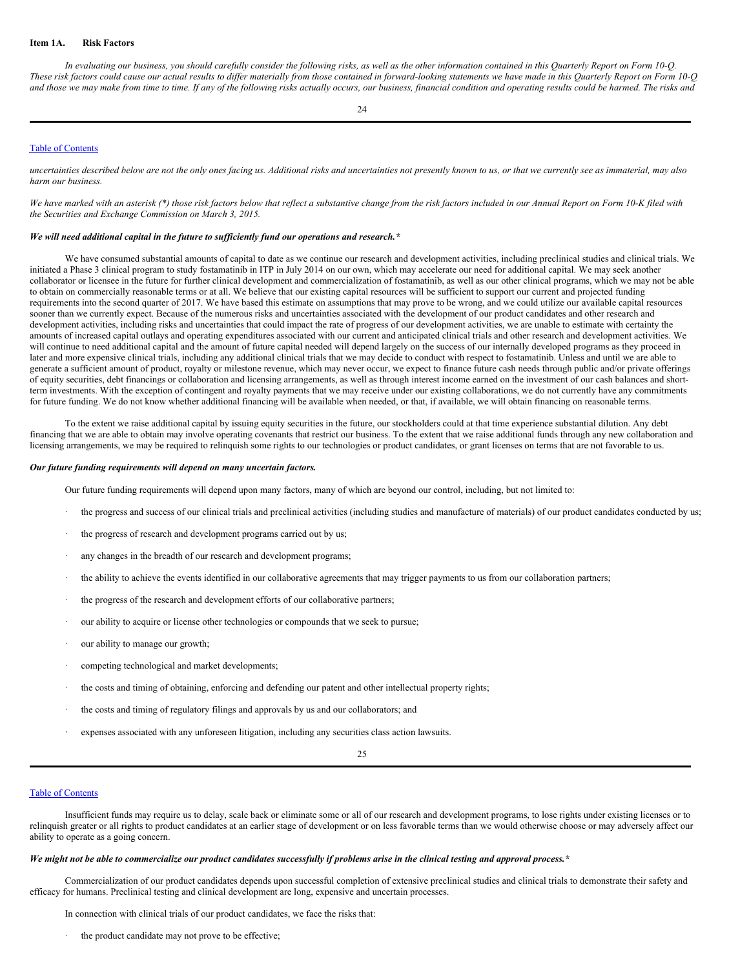## <span id="page-15-0"></span>**Item 1A. Risk Factors**

In evaluating our business, you should carefully consider the following risks, as well as the other information contained in this Quarterly Report on Form 10-Q. These risk factors could cause our actual results to differ materially from those contained in forward-looking statements we have made in this Quarterly Report on Form 10-Q and those we may make from time to time. If any of the following risks actually occurs, our business, financial condition and operating results could be harmed. The risks and

## Table of [Contents](#page-0-0)

uncertainties described below are not the only ones facing us. Additional risks and uncertainties not presently known to us, or that we currently see as immaterial, may also *harm our business.*

We have marked with an asterisk (\*) those risk factors below that reflect a substantive change from the risk factors included in our Annual Report on Form 10-K filed with *the Securities and Exchange Commission on March 3, 2015.*

## *We will need additional capital in the future to suf iciently fund our operations and research.\**

We have consumed substantial amounts of capital to date as we continue our research and development activities, including preclinical studies and clinical trials. We initiated a Phase 3 clinical program to study fostamatinib in ITP in July 2014 on our own, which may accelerate our need for additional capital. We may seek another collaborator or licensee in the future for further clinical development and commercialization of fostamatinib, as well as our other clinical programs, which we may not be able to obtain on commercially reasonable terms or at all. We believe that our existing capital resources will be sufficient to support our current and projected funding requirements into the second quarter of 2017. We have based this estimate on assumptions that may prove to be wrong, and we could utilize our available capital resources sooner than we currently expect. Because of the numerous risks and uncertainties associated with the development of our product candidates and other research and development activities, including risks and uncertainties that could impact the rate of progress of our development activities, we are unable to estimate with certainty the amounts of increased capital outlays and operating expenditures associated with our current and anticipated clinical trials and other research and development activities. We will continue to need additional capital and the amount of future capital needed will depend largely on the success of our internally developed programs as they proceed in later and more expensive clinical trials, including any additional clinical trials that we may decide to conduct with respect to fostamatinib. Unless and until we are able to generate a sufficient amount of product, royalty or milestone revenue, which may never occur, we expect to finance future cash needs through public and/or private offerings of equity securities, debt financings or collaboration and licensing arrangements, as well as through interest income earned on the investment of our cash balances and shortterm investments. With the exception of contingent and royalty payments that we may receive under our existing collaborations, we do not currently have any commitments for future funding. We do not know whether additional financing will be available when needed, or that, if available, we will obtain financing on reasonable terms.

To the extent we raise additional capital by issuing equity securities in the future, our stockholders could at that time experience substantial dilution. Any debt financing that we are able to obtain may involve operating covenants that restrict our business. To the extent that we raise additional funds through any new collaboration and licensing arrangements, we may be required to relinquish some rights to our technologies or product candidates, or grant licenses on terms that are not favorable to us.

#### *Our future funding requirements will depend on many uncertain factors.*

Our future funding requirements will depend upon many factors, many of which are beyond our control, including, but not limited to:

- the progress and success of our clinical trials and preclinical activities (including studies and manufacture of materials) of our product candidates conducted by us;
- the progress of research and development programs carried out by us;
- any changes in the breadth of our research and development programs;
- the ability to achieve the events identified in our collaborative agreements that may trigger payments to us from our collaboration partners;
- the progress of the research and development efforts of our collaborative partners;
- our ability to acquire or license other technologies or compounds that we seek to pursue;
- our ability to manage our growth;
- competing technological and market developments;
- the costs and timing of obtaining, enforcing and defending our patent and other intellectual property rights;
- the costs and timing of regulatory filings and approvals by us and our collaborators; and
- expenses associated with any unforeseen litigation, including any securities class action lawsuits.

## 25

#### Table of [Contents](#page-0-0)

Insufficient funds may require us to delay, scale back or eliminate some or all of our research and development programs, to lose rights under existing licenses or to relinquish greater or all rights to product candidates at an earlier stage of development or on less favorable terms than we would otherwise choose or may adversely affect our ability to operate as a going concern.

#### We might not be able to commercialize our product candidates successfully if problems arise in the clinical testing and approval process.\*

Commercialization of our product candidates depends upon successful completion of extensive preclinical studies and clinical trials to demonstrate their safety and efficacy for humans. Preclinical testing and clinical development are long, expensive and uncertain processes.

In connection with clinical trials of our product candidates, we face the risks that:

the product candidate may not prove to be effective;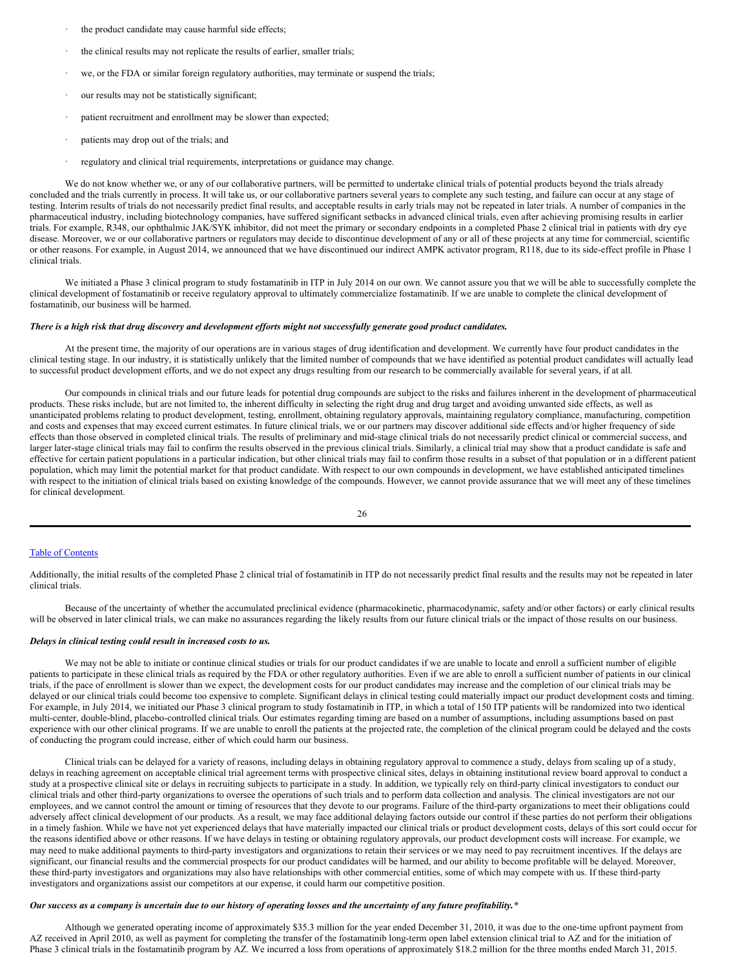- the product candidate may cause harmful side effects;
- the clinical results may not replicate the results of earlier, smaller trials;
- we, or the FDA or similar foreign regulatory authorities, may terminate or suspend the trials;
- our results may not be statistically significant;
- patient recruitment and enrollment may be slower than expected;
- patients may drop out of the trials; and
- · regulatory and clinical trial requirements, interpretations or guidance may change.

We do not know whether we, or any of our collaborative partners, will be permitted to undertake clinical trials of potential products beyond the trials already concluded and the trials currently in process. It will take us, or our collaborative partners several years to complete any such testing, and failure can occur at any stage of testing. Interim results of trials do not necessarily predict final results, and acceptable results in early trials may not be repeated in later trials. A number of companies in the pharmaceutical industry, including biotechnology companies, have suffered significant setbacks in advanced clinical trials, even after achieving promising results in earlier trials. For example, R348, our ophthalmic JAK/SYK inhibitor, did not meet the primary or secondary endpoints in a completed Phase 2 clinical trial in patients with dry eye disease. Moreover, we or our collaborative partners or regulators may decide to discontinue development of any or all of these projects at any time for commercial, scientific or other reasons. For example, in August 2014, we announced that we have discontinued our indirect AMPK activator program, R118, due to its side-effect profile in Phase 1 clinical trials.

We initiated a Phase 3 clinical program to study fostamatinib in ITP in July 2014 on our own. We cannot assure you that we will be able to successfully complete the clinical development of fostamatinib or receive regulatory approval to ultimately commercialize fostamatinib. If we are unable to complete the clinical development of fostamatinib, our business will be harmed.

## There is a high risk that drug discovery and development efforts might not successfully generate good product candidates.

At the present time, the majority of our operations are in various stages of drug identification and development. We currently have four product candidates in the clinical testing stage. In our industry, it is statistically unlikely that the limited number of compounds that we have identified as potential product candidates will actually lead to successful product development efforts, and we do not expect any drugs resulting from our research to be commercially available for several years, if at all.

Our compounds in clinical trials and our future leads for potential drug compounds are subject to the risks and failures inherent in the development of pharmaceutical products. These risks include, but are not limited to, the inherent difficulty in selecting the right drug and drug target and avoiding unwanted side effects, as well as unanticipated problems relating to product development, testing, enrollment, obtaining regulatory approvals, maintaining regulatory compliance, manufacturing, competition and costs and expenses that may exceed current estimates. In future clinical trials, we or our partners may discover additional side effects and/or higher frequency of side effects than those observed in completed clinical trials. The results of preliminary and mid-stage clinical trials do not necessarily predict clinical or commercial success, and larger later-stage clinical trials may fail to confirm the results observed in the previous clinical trials. Similarly, a clinical trial may show that a product candidate is safe and effective for certain patient populations in a particular indication, but other clinical trials may fail to confirm those results in a subset of that population or in a different patient population, which may limit the potential market for that product candidate. With respect to our own compounds in development, we have established anticipated timelines with respect to the initiation of clinical trials based on existing knowledge of the compounds. However, we cannot provide assurance that we will meet any of these timelines for clinical development.

26

## Table of [Contents](#page-0-0)

Additionally, the initial results of the completed Phase 2 clinical trial of fostamatinib in ITP do not necessarily predict final results and the results may not be repeated in later clinical trials.

Because of the uncertainty of whether the accumulated preclinical evidence (pharmacokinetic, pharmacodynamic, safety and/or other factors) or early clinical results will be observed in later clinical trials, we can make no assurances regarding the likely results from our future clinical trials or the impact of those results on our business.

## *Delays in clinical testing could result in increased costs to us.*

We may not be able to initiate or continue clinical studies or trials for our product candidates if we are unable to locate and enroll a sufficient number of eligible patients to participate in these clinical trials as required by the FDA or other regulatory authorities. Even if we are able to enroll a sufficient number of patients in our clinical trials, if the pace of enrollment is slower than we expect, the development costs for our product candidates may increase and the completion of our clinical trials may be delayed or our clinical trials could become too expensive to complete. Significant delays in clinical testing could materially impact our product development costs and timing. For example, in July 2014, we initiated our Phase 3 clinical program to study fostamatinib in ITP, in which a total of 150 ITP patients will be randomized into two identical multi-center, double-blind, placebo-controlled clinical trials. Our estimates regarding timing are based on a number of assumptions, including assumptions based on past experience with our other clinical programs. If we are unable to enroll the patients at the projected rate, the completion of the clinical program could be delayed and the costs of conducting the program could increase, either of which could harm our business.

Clinical trials can be delayed for a variety of reasons, including delays in obtaining regulatory approval to commence a study, delays from scaling up of a study, delays in reaching agreement on acceptable clinical trial agreement terms with prospective clinical sites, delays in obtaining institutional review board approval to conduct a study at a prospective clinical site or delays in recruiting subjects to participate in a study. In addition, we typically rely on third-party clinical investigators to conduct our clinical trials and other third-party organizations to oversee the operations of such trials and to perform data collection and analysis. The clinical investigators are not our employees, and we cannot control the amount or timing of resources that they devote to our programs. Failure of the third-party organizations to meet their obligations could adversely affect clinical development of our products. As a result, we may face additional delaying factors outside our control if these parties do not perform their obligations in a timely fashion. While we have not yet experienced delays that have materially impacted our clinical trials or product development costs, delays of this sort could occur for the reasons identified above or other reasons. If we have delays in testing or obtaining regulatory approvals, our product development costs will increase. For example, we may need to make additional payments to third-party investigators and organizations to retain their services or we may need to pay recruitment incentives. If the delays are significant, our financial results and the commercial prospects for our product candidates will be harmed, and our ability to become profitable will be delayed. Moreover, these third-party investigators and organizations may also have relationships with other commercial entities, some of which may compete with us. If these third-party investigators and organizations assist our competitors at our expense, it could harm our competitive position.

## Our success as a company is uncertain due to our history of operating losses and the uncertainty of any future profitability.\*

Although we generated operating income of approximately \$35.3 million for the year ended December 31, 2010, it was due to the one-time upfront payment from AZ received in April 2010, as well as payment for completing the transfer of the fostamatinib long-term open label extension clinical trial to AZ and for the initiation of Phase 3 clinical trials in the fostamatinib program by AZ. We incurred a loss from operations of approximately \$18.2 million for the three months ended March 31, 2015.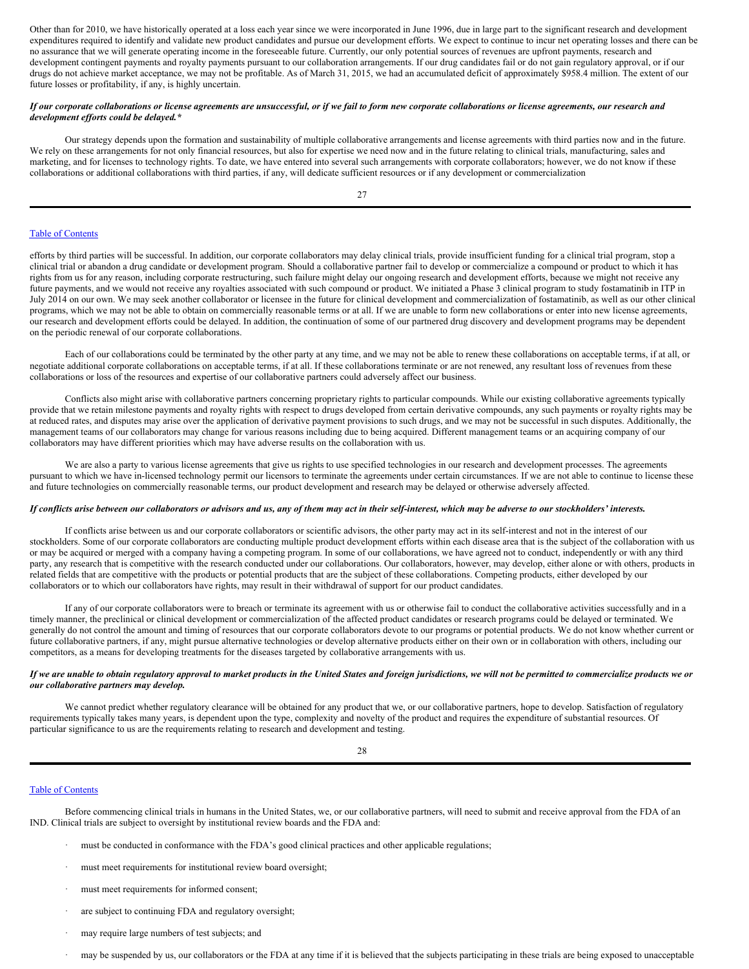Other than for 2010, we have historically operated at a loss each year since we were incorporated in June 1996, due in large part to the significant research and development expenditures required to identify and validate new product candidates and pursue our development efforts. We expect to continue to incur net operating losses and there can be no assurance that we will generate operating income in the foreseeable future. Currently, our only potential sources of revenues are upfront payments, research and development contingent payments and royalty payments pursuant to our collaboration arrangements. If our drug candidates fail or do not gain regulatory approval, or if our drugs do not achieve market acceptance, we may not be profitable. As of March 31, 2015, we had an accumulated deficit of approximately \$958.4 million. The extent of our future losses or profitability, if any, is highly uncertain.

## If our corporate collaborations or license agreements are unsuccessful, or if we fail to form new corporate collaborations or license agreements, our research and *development ef orts could be delayed.\**

Our strategy depends upon the formation and sustainability of multiple collaborative arrangements and license agreements with third parties now and in the future. We rely on these arrangements for not only financial resources, but also for expertise we need now and in the future relating to clinical trials, manufacturing, sales and marketing, and for licenses to technology rights. To date, we have entered into several such arrangements with corporate collaborators; however, we do not know if these collaborations or additional collaborations with third parties, if any, will dedicate sufficient resources or if any development or commercialization

27

#### Table of [Contents](#page-0-0)

efforts by third parties will be successful. In addition, our corporate collaborators may delay clinical trials, provide insufficient funding for a clinical trial program, stop a clinical trial or abandon a drug candidate or development program. Should a collaborative partner fail to develop or commercialize a compound or product to which it has rights from us for any reason, including corporate restructuring, such failure might delay our ongoing research and development efforts, because we might not receive any future payments, and we would not receive any royalties associated with such compound or product. We initiated a Phase 3 clinical program to study fostamatinib in ITP in July 2014 on our own. We may seek another collaborator or licensee in the future for clinical development and commercialization of fostamatinib, as well as our other clinical programs, which we may not be able to obtain on commercially reasonable terms or at all. If we are unable to form new collaborations or enter into new license agreements, our research and development efforts could be delayed. In addition, the continuation of some of our partnered drug discovery and development programs may be dependent on the periodic renewal of our corporate collaborations.

Each of our collaborations could be terminated by the other party at any time, and we may not be able to renew these collaborations on acceptable terms, if at all, or negotiate additional corporate collaborations on acceptable terms, if at all. If these collaborations terminate or are not renewed, any resultant loss of revenues from these collaborations or loss of the resources and expertise of our collaborative partners could adversely affect our business.

Conflicts also might arise with collaborative partners concerning proprietary rights to particular compounds. While our existing collaborative agreements typically provide that we retain milestone payments and royalty rights with respect to drugs developed from certain derivative compounds, any such payments or royalty rights may be at reduced rates, and disputes may arise over the application of derivative payment provisions to such drugs, and we may not be successful in such disputes. Additionally, the management teams of our collaborators may change for various reasons including due to being acquired. Different management teams or an acquiring company of our collaborators may have different priorities which may have adverse results on the collaboration with us.

We are also a party to various license agreements that give us rights to use specified technologies in our research and development processes. The agreements pursuant to which we have in-licensed technology permit our licensors to terminate the agreements under certain circumstances. If we are not able to continue to license these and future technologies on commercially reasonable terms, our product development and research may be delayed or otherwise adversely affected.

#### If conflicts arise between our collaborators or advisors and us, any of them may act in their self-interest, which may be adverse to our stockholders' interests.

If conflicts arise between us and our corporate collaborators or scientific advisors, the other party may act in its self-interest and not in the interest of our stockholders. Some of our corporate collaborators are conducting multiple product development efforts within each disease area that is the subject of the collaboration with us or may be acquired or merged with a company having a competing program. In some of our collaborations, we have agreed not to conduct, independently or with any third party, any research that is competitive with the research conducted under our collaborations. Our collaborators, however, may develop, either alone or with others, products in related fields that are competitive with the products or potential products that are the subject of these collaborations. Competing products, either developed by our collaborators or to which our collaborators have rights, may result in their withdrawal of support for our product candidates.

If any of our corporate collaborators were to breach or terminate its agreement with us or otherwise fail to conduct the collaborative activities successfully and in a timely manner, the preclinical or clinical development or commercialization of the affected product candidates or research programs could be delayed or terminated. We generally do not control the amount and timing of resources that our corporate collaborators devote to our programs or potential products. We do not know whether current or future collaborative partners, if any, might pursue alternative technologies or develop alternative products either on their own or in collaboration with others, including our competitors, as a means for developing treatments for the diseases targeted by collaborative arrangements with us.

## If we are unable to obtain regulatory approval to market products in the United States and foreign jurisdictions, we will not be permitted to commercialize products we or *our collaborative partners may develop.*

We cannot predict whether regulatory clearance will be obtained for any product that we, or our collaborative partners, hope to develop. Satisfaction of regulatory requirements typically takes many years, is dependent upon the type, complexity and novelty of the product and requires the expenditure of substantial resources. Of particular significance to us are the requirements relating to research and development and testing.

## 28

#### Table of [Contents](#page-0-0)

Before commencing clinical trials in humans in the United States, we, or our collaborative partners, will need to submit and receive approval from the FDA of an IND. Clinical trials are subject to oversight by institutional review boards and the FDA and:

- must be conducted in conformance with the FDA's good clinical practices and other applicable regulations;
- must meet requirements for institutional review board oversight:
- must meet requirements for informed consent;
- are subject to continuing FDA and regulatory oversight;
- may require large numbers of test subjects; and
- may be suspended by us, our collaborators or the FDA at any time if it is believed that the subjects participating in these trials are being exposed to unacceptable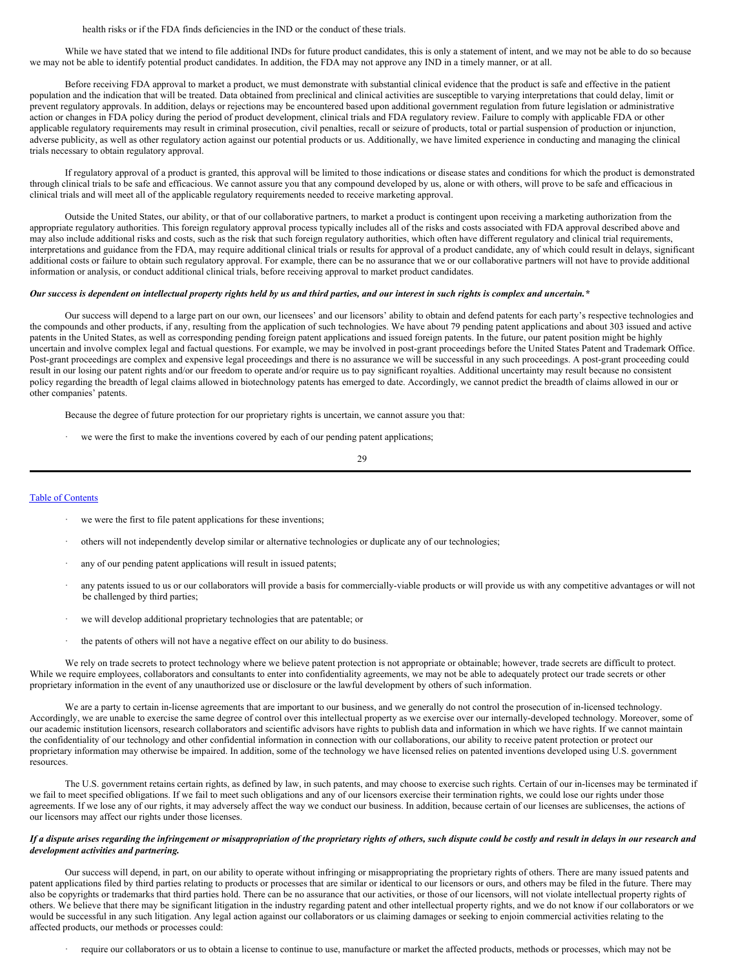#### health risks or if the FDA finds deficiencies in the IND or the conduct of these trials.

While we have stated that we intend to file additional INDs for future product candidates, this is only a statement of intent, and we may not be able to do so because we may not be able to identify potential product candidates. In addition, the FDA may not approve any IND in a timely manner, or at all.

Before receiving FDA approval to market a product, we must demonstrate with substantial clinical evidence that the product is safe and effective in the patient population and the indication that will be treated. Data obtained from preclinical and clinical activities are susceptible to varying interpretations that could delay, limit or prevent regulatory approvals. In addition, delays or rejections may be encountered based upon additional government regulation from future legislation or administrative action or changes in FDA policy during the period of product development, clinical trials and FDA regulatory review. Failure to comply with applicable FDA or other applicable regulatory requirements may result in criminal prosecution, civil penalties, recall or seizure of products, total or partial suspension of production or injunction, adverse publicity, as well as other regulatory action against our potential products or us. Additionally, we have limited experience in conducting and managing the clinical trials necessary to obtain regulatory approval.

If regulatory approval of a product is granted, this approval will be limited to those indications or disease states and conditions for which the product is demonstrated through clinical trials to be safe and efficacious. We cannot assure you that any compound developed by us, alone or with others, will prove to be safe and efficacious in clinical trials and will meet all of the applicable regulatory requirements needed to receive marketing approval.

Outside the United States, our ability, or that of our collaborative partners, to market a product is contingent upon receiving a marketing authorization from the appropriate regulatory authorities. This foreign regulatory approval process typically includes all of the risks and costs associated with FDA approval described above and may also include additional risks and costs, such as the risk that such foreign regulatory authorities, which often have different regulatory and clinical trial requirements, interpretations and guidance from the FDA, may require additional clinical trials or results for approval of a product candidate, any of which could result in delays, significant additional costs or failure to obtain such regulatory approval. For example, there can be no assurance that we or our collaborative partners will not have to provide additional information or analysis, or conduct additional clinical trials, before receiving approval to market product candidates.

## Our success is dependent on intellectual property rights held by us and third parties, and our interest in such rights is complex and uncertain.\*

Our success will depend to a large part on our own, our licensees' and our licensors' ability to obtain and defend patents for each party's respective technologies and the compounds and other products, if any, resulting from the application of such technologies. We have about 79 pending patent applications and about 303 issued and active patents in the United States, as well as corresponding pending foreign patent applications and issued foreign patents. In the future, our patent position might be highly uncertain and involve complex legal and factual questions. For example, we may be involved in post-grant proceedings before the United States Patent and Trademark Office. Post-grant proceedings are complex and expensive legal proceedings and there is no assurance we will be successful in any such proceedings. A post-grant proceeding could result in our losing our patent rights and/or our freedom to operate and/or require us to pay significant royalties. Additional uncertainty may result because no consistent policy regarding the breadth of legal claims allowed in biotechnology patents has emerged to date. Accordingly, we cannot predict the breadth of claims allowed in our or other companies' patents.

Because the degree of future protection for our proprietary rights is uncertain, we cannot assure you that:

we were the first to make the inventions covered by each of our pending patent applications;

29

## Table of [Contents](#page-0-0)

- we were the first to file patent applications for these inventions;
- · others will not independently develop similar or alternative technologies or duplicate any of our technologies;
- any of our pending patent applications will result in issued patents;
- · any patents issued to us or our collaborators will provide a basis for commercially-viable products or will provide us with any competitive advantages or will not be challenged by third parties;
- we will develop additional proprietary technologies that are patentable; or
- the patents of others will not have a negative effect on our ability to do business.

We rely on trade secrets to protect technology where we believe patent protection is not appropriate or obtainable; however, trade secrets are difficult to protect. While we require employees, collaborators and consultants to enter into confidentiality agreements, we may not be able to adequately protect our trade secrets or other proprietary information in the event of any unauthorized use or disclosure or the lawful development by others of such information.

We are a party to certain in-license agreements that are important to our business, and we generally do not control the prosecution of in-licensed technology. Accordingly, we are unable to exercise the same degree of control over this intellectual property as we exercise over our internally-developed technology. Moreover, some of our academic institution licensors, research collaborators and scientific advisors have rights to publish data and information in which we have rights. If we cannot maintain the confidentiality of our technology and other confidential information in connection with our collaborations, our ability to receive patent protection or protect our proprietary information may otherwise be impaired. In addition, some of the technology we have licensed relies on patented inventions developed using U.S. government resources.

The U.S. government retains certain rights, as defined by law, in such patents, and may choose to exercise such rights. Certain of our in-licenses may be terminated if we fail to meet specified obligations. If we fail to meet such obligations and any of our licensors exercise their termination rights, we could lose our rights under those agreements. If we lose any of our rights, it may adversely affect the way we conduct our business. In addition, because certain of our licenses are sublicenses, the actions of our licensors may affect our rights under those licenses.

## If a dispute arises regarding the infringement or misappropriation of the proprietary rights of others, such dispute could be costly and result in delays in our research and *development activities and partnering.*

Our success will depend, in part, on our ability to operate without infringing or misappropriating the proprietary rights of others. There are many issued patents and patent applications filed by third parties relating to products or processes that are similar or identical to our licensors or ours, and others may be filed in the future. There may also be copyrights or trademarks that third parties hold. There can be no assurance that our activities, or those of our licensors, will not violate intellectual property rights of others. We believe that there may be significant litigation in the industry regarding patent and other intellectual property rights, and we do not know if our collaborators or we would be successful in any such litigation. Any legal action against our collaborators or us claiming damages or seeking to enjoin commercial activities relating to the affected products, our methods or processes could:

require our collaborators or us to obtain a license to continue to use, manufacture or market the affected products, methods or processes, which may not be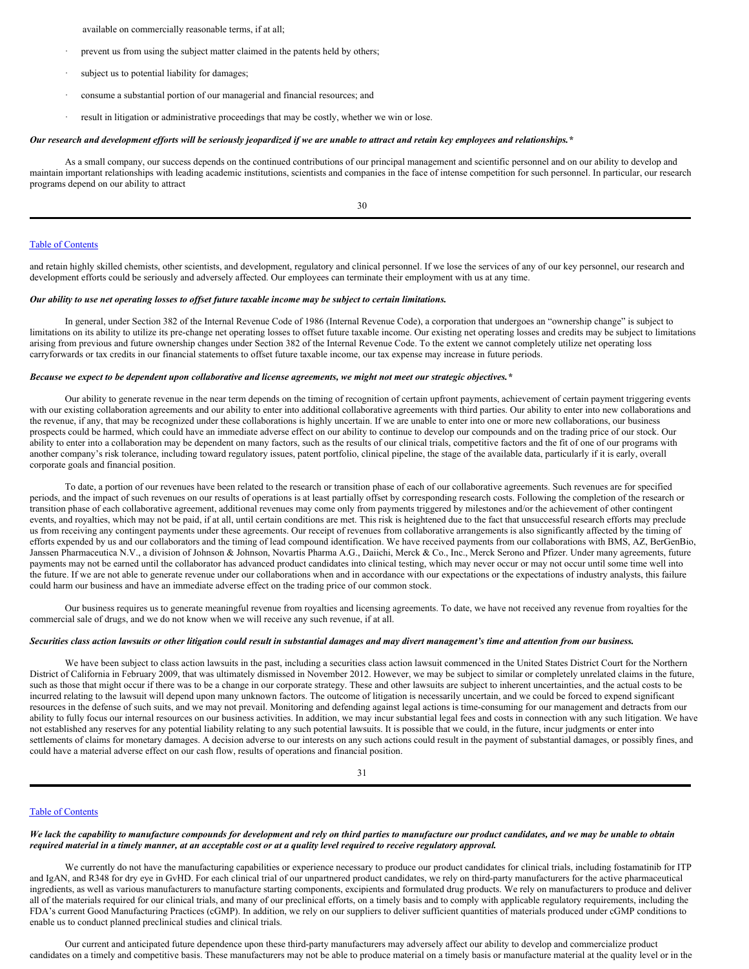available on commercially reasonable terms, if at all;

- prevent us from using the subject matter claimed in the patents held by others;
- subject us to potential liability for damages;
- · consume a substantial portion of our managerial and financial resources; and
- result in litigation or administrative proceedings that may be costly, whether we win or lose.

## Our research and development efforts will be seriously jeopardized if we are unable to attract and retain key employees and relationships.\*

As a small company, our success depends on the continued contributions of our principal management and scientific personnel and on our ability to develop and maintain important relationships with leading academic institutions, scientists and companies in the face of intense competition for such personnel. In particular, our research programs depend on our ability to attract

30

#### Table of [Contents](#page-0-0)

and retain highly skilled chemists, other scientists, and development, regulatory and clinical personnel. If we lose the services of any of our key personnel, our research and development efforts could be seriously and adversely affected. Our employees can terminate their employment with us at any time.

#### Our ability to use net operating losses to offset future taxable income may be subject to certain limitations.

In general, under Section 382 of the Internal Revenue Code of 1986 (Internal Revenue Code), a corporation that undergoes an "ownership change" is subject to limitations on its ability to utilize its pre-change net operating losses to offset future taxable income. Our existing net operating losses and credits may be subject to limitations arising from previous and future ownership changes under Section 382 of the Internal Revenue Code. To the extent we cannot completely utilize net operating loss carryforwards or tax credits in our financial statements to offset future taxable income, our tax expense may increase in future periods.

#### Because we expect to be dependent upon collaborative and license agreements, we might not meet our strategic objectives.\*

Our ability to generate revenue in the near term depends on the timing of recognition of certain upfront payments, achievement of certain payment triggering events with our existing collaboration agreements and our ability to enter into additional collaborative agreements with third parties. Our ability to enter into new collaborations and the revenue, if any, that may be recognized under these collaborations is highly uncertain. If we are unable to enter into one or more new collaborations, our business prospects could be harmed, which could have an immediate adverse effect on our ability to continue to develop our compounds and on the trading price of our stock. Our ability to enter into a collaboration may be dependent on many factors, such as the results of our clinical trials, competitive factors and the fit of one of our programs with another company's risk tolerance, including toward regulatory issues, patent portfolio, clinical pipeline, the stage of the available data, particularly if it is early, overall corporate goals and financial position.

To date, a portion of our revenues have been related to the research or transition phase of each of our collaborative agreements. Such revenues are for specified periods, and the impact of such revenues on our results of operations is at least partially offset by corresponding research costs. Following the completion of the research or transition phase of each collaborative agreement, additional revenues may come only from payments triggered by milestones and/or the achievement of other contingent events, and royalties, which may not be paid, if at all, until certain conditions are met. This risk is heightened due to the fact that unsuccessful research efforts may preclude us from receiving any contingent payments under these agreements. Our receipt of revenues from collaborative arrangements is also significantly affected by the timing of efforts expended by us and our collaborators and the timing of lead compound identification. We have received payments from our collaborations with BMS, AZ, BerGenBio, Janssen Pharmaceutica N.V., a division of Johnson & Johnson, Novartis Pharma A.G., Daiichi, Merck & Co., Inc., Merck Serono and Pfizer. Under many agreements, future payments may not be earned until the collaborator has advanced product candidates into clinical testing, which may never occur or may not occur until some time well into the future. If we are not able to generate revenue under our collaborations when and in accordance with our expectations or the expectations of industry analysts, this failure could harm our business and have an immediate adverse effect on the trading price of our common stock.

Our business requires us to generate meaningful revenue from royalties and licensing agreements. To date, we have not received any revenue from royalties for the commercial sale of drugs, and we do not know when we will receive any such revenue, if at all.

## Securities class action lawsuits or other litigation could result in substantial damages and may divert management's time and attention from our business.

We have been subject to class action lawsuits in the past, including a securities class action lawsuit commenced in the United States District Court for the Northern District of California in February 2009, that was ultimately dismissed in November 2012. However, we may be subject to similar or completely unrelated claims in the future, such as those that might occur if there was to be a change in our corporate strategy. These and other lawsuits are subject to inherent uncertainties, and the actual costs to be incurred relating to the lawsuit will depend upon many unknown factors. The outcome of litigation is necessarily uncertain, and we could be forced to expend significant resources in the defense of such suits, and we may not prevail. Monitoring and defending against legal actions is time-consuming for our management and detracts from our ability to fully focus our internal resources on our business activities. In addition, we may incur substantial legal fees and costs in connection with any such litigation. We have not established any reserves for any potential liability relating to any such potential lawsuits. It is possible that we could, in the future, incur judgments or enter into settlements of claims for monetary damages. A decision adverse to our interests on any such actions could result in the payment of substantial damages, or possibly fines, and could have a material adverse effect on our cash flow, results of operations and financial position.

31

#### Table of [Contents](#page-0-0)

We lack the capability to manufacture compounds for development and rely on third parties to manufacture our product candidates, and we may be unable to obtain required material in a timely manner, at an acceptable cost or at a quality level required to receive regulatory approval.

We currently do not have the manufacturing capabilities or experience necessary to produce our product candidates for clinical trials, including fostamatinib for ITP and IgAN, and R348 for dry eye in GvHD. For each clinical trial of our unpartnered product candidates, we rely on third-party manufacturers for the active pharmaceutical ingredients, as well as various manufacturers to manufacture starting components, excipients and formulated drug products. We rely on manufacturers to produce and deliver all of the materials required for our clinical trials, and many of our preclinical efforts, on a timely basis and to comply with applicable regulatory requirements, including the FDA's current Good Manufacturing Practices (cGMP). In addition, we rely on our suppliers to deliver sufficient quantities of materials produced under cGMP conditions to enable us to conduct planned preclinical studies and clinical trials.

Our current and anticipated future dependence upon these third-party manufacturers may adversely affect our ability to develop and commercialize product candidates on a timely and competitive basis. These manufacturers may not be able to produce material on a timely basis or manufacture material at the quality level or in the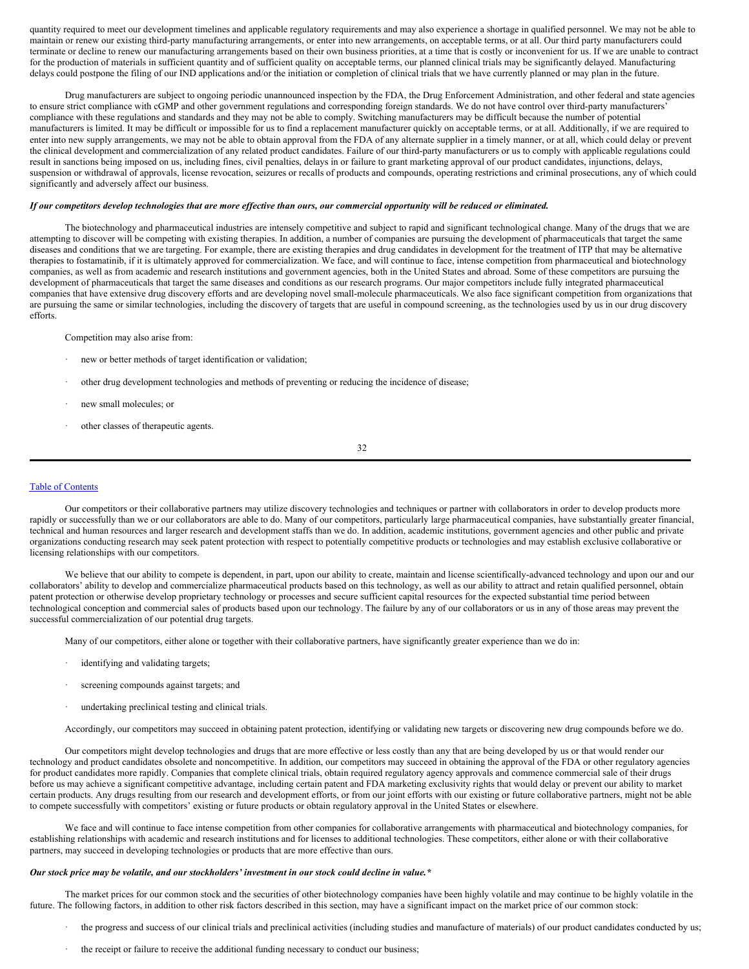quantity required to meet our development timelines and applicable regulatory requirements and may also experience a shortage in qualified personnel. We may not be able to maintain or renew our existing third-party manufacturing arrangements, or enter into new arrangements, on acceptable terms, or at all. Our third party manufacturers could terminate or decline to renew our manufacturing arrangements based on their own business priorities, at a time that is costly or inconvenient for us. If we are unable to contract for the production of materials in sufficient quantity and of sufficient quality on acceptable terms, our planned clinical trials may be significantly delayed. Manufacturing delays could postpone the filing of our IND applications and/or the initiation or completion of clinical trials that we have currently planned or may plan in the future.

Drug manufacturers are subject to ongoing periodic unannounced inspection by the FDA, the Drug Enforcement Administration, and other federal and state agencies to ensure strict compliance with cGMP and other government regulations and corresponding foreign standards. We do not have control over third-party manufacturers' compliance with these regulations and standards and they may not be able to comply. Switching manufacturers may be difficult because the number of potential manufacturers is limited. It may be difficult or impossible for us to find a replacement manufacturer quickly on acceptable terms, or at all. Additionally, if we are required to enter into new supply arrangements, we may not be able to obtain approval from the FDA of any alternate supplier in a timely manner, or at all, which could delay or prevent the clinical development and commercialization of any related product candidates. Failure of our third-party manufacturers or us to comply with applicable regulations could result in sanctions being imposed on us, including fines, civil penalties, delays in or failure to grant marketing approval of our product candidates, injunctions, delays, suspension or withdrawal of approvals, license revocation, seizures or recalls of products and compounds, operating restrictions and criminal prosecutions, any of which could significantly and adversely affect our business.

#### If our competitors develop technologies that are more effective than ours, our commercial opportunity will be reduced or eliminated.

The biotechnology and pharmaceutical industries are intensely competitive and subject to rapid and significant technological change. Many of the drugs that we are attempting to discover will be competing with existing therapies. In addition, a number of companies are pursuing the development of pharmaceuticals that target the same diseases and conditions that we are targeting. For example, there are existing therapies and drug candidates in development for the treatment of ITP that may be alternative therapies to fostamatinib, if it is ultimately approved for commercialization. We face, and will continue to face, intense competition from pharmaceutical and biotechnology companies, as well as from academic and research institutions and government agencies, both in the United States and abroad. Some of these competitors are pursuing the development of pharmaceuticals that target the same diseases and conditions as our research programs. Our major competitors include fully integrated pharmaceutical companies that have extensive drug discovery efforts and are developing novel small-molecule pharmaceuticals. We also face significant competition from organizations that are pursuing the same or similar technologies, including the discovery of targets that are useful in compound screening, as the technologies used by us in our drug discovery efforts.

Competition may also arise from:

- new or better methods of target identification or validation;
- other drug development technologies and methods of preventing or reducing the incidence of disease;
- new small molecules; or
- other classes of therapeutic agents.

32

#### Table of [Contents](#page-0-0)

Our competitors or their collaborative partners may utilize discovery technologies and techniques or partner with collaborators in order to develop products more rapidly or successfully than we or our collaborators are able to do. Many of our competitors, particularly large pharmaceutical companies, have substantially greater financial, technical and human resources and larger research and development staffs than we do. In addition, academic institutions, government agencies and other public and private organizations conducting research may seek patent protection with respect to potentially competitive products or technologies and may establish exclusive collaborative or licensing relationships with our competitors.

We believe that our ability to compete is dependent, in part, upon our ability to create, maintain and license scientifically-advanced technology and upon our and our collaborators' ability to develop and commercialize pharmaceutical products based on this technology, as well as our ability to attract and retain qualified personnel, obtain patent protection or otherwise develop proprietary technology or processes and secure sufficient capital resources for the expected substantial time period between technological conception and commercial sales of products based upon our technology. The failure by any of our collaborators or us in any of those areas may prevent the successful commercialization of our potential drug targets.

Many of our competitors, either alone or together with their collaborative partners, have significantly greater experience than we do in:

- identifying and validating targets;
- screening compounds against targets; and
- undertaking preclinical testing and clinical trials.

Accordingly, our competitors may succeed in obtaining patent protection, identifying or validating new targets or discovering new drug compounds before we do.

Our competitors might develop technologies and drugs that are more effective or less costly than any that are being developed by us or that would render our technology and product candidates obsolete and noncompetitive. In addition, our competitors may succeed in obtaining the approval of the FDA or other regulatory agencies for product candidates more rapidly. Companies that complete clinical trials, obtain required regulatory agency approvals and commence commercial sale of their drugs before us may achieve a significant competitive advantage, including certain patent and FDA marketing exclusivity rights that would delay or prevent our ability to market certain products. Any drugs resulting from our research and development efforts, or from our joint efforts with our existing or future collaborative partners, might not be able to compete successfully with competitors' existing or future products or obtain regulatory approval in the United States or elsewhere.

We face and will continue to face intense competition from other companies for collaborative arrangements with pharmaceutical and biotechnology companies, for establishing relationships with academic and research institutions and for licenses to additional technologies. These competitors, either alone or with their collaborative partners, may succeed in developing technologies or products that are more effective than ours.

## *Our stock price may be volatile, and our stockholders' investment in our stock could decline in value.\**

The market prices for our common stock and the securities of other biotechnology companies have been highly volatile and may continue to be highly volatile in the future. The following factors, in addition to other risk factors described in this section, may have a significant impact on the market price of our common stock:

- · the progress and success of our clinical trials and preclinical activities (including studies and manufacture of materials) of our product candidates conducted by us;
- the receipt or failure to receive the additional funding necessary to conduct our business;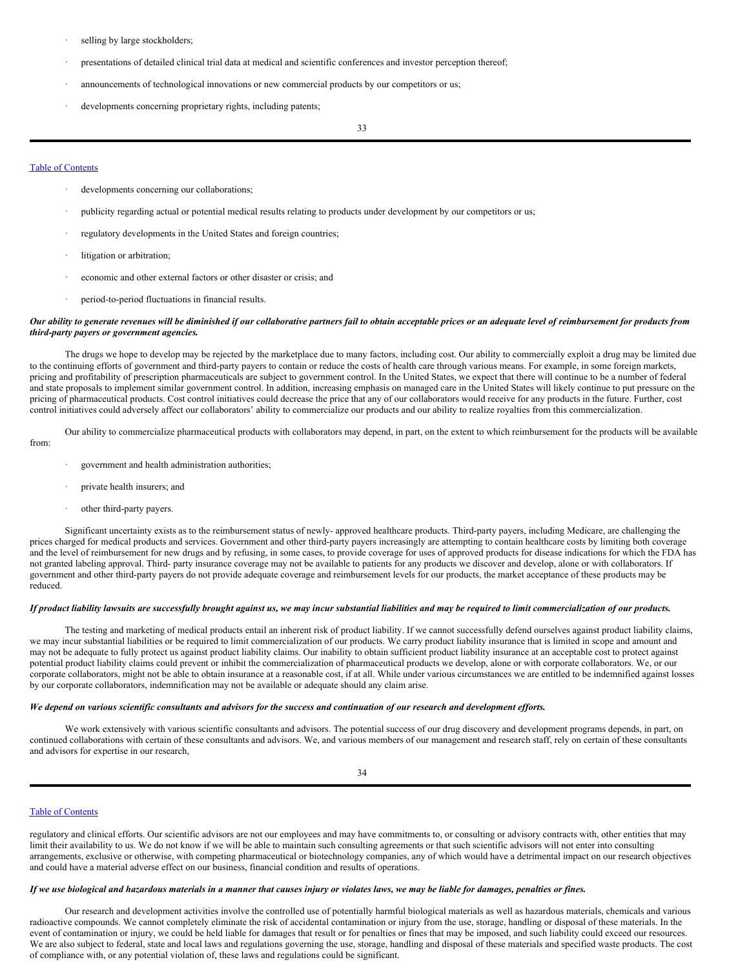- selling by large stockholders;
- presentations of detailed clinical trial data at medical and scientific conferences and investor perception thereof;
- announcements of technological innovations or new commercial products by our competitors or us;
- developments concerning proprietary rights, including patents;

#### Table of [Contents](#page-0-0)

- developments concerning our collaborations;
- publicity regarding actual or potential medical results relating to products under development by our competitors or us;
- regulatory developments in the United States and foreign countries;
- litigation or arbitration;
- economic and other external factors or other disaster or crisis; and
- period-to-period fluctuations in financial results.

## Our ability to generate revenues will be diminished if our collaborative partners fail to obtain acceptable prices or an adequate level of reimbursement for products from *third-party payers or government agencies.*

The drugs we hope to develop may be rejected by the marketplace due to many factors, including cost. Our ability to commercially exploit a drug may be limited due to the continuing efforts of government and third-party payers to contain or reduce the costs of health care through various means. For example, in some foreign markets, pricing and profitability of prescription pharmaceuticals are subject to government control. In the United States, we expect that there will continue to be a number of federal and state proposals to implement similar government control. In addition, increasing emphasis on managed care in the United States will likely continue to put pressure on the pricing of pharmaceutical products. Cost control initiatives could decrease the price that any of our collaborators would receive for any products in the future. Further, cost control initiatives could adversely affect our collaborators' ability to commercialize our products and our ability to realize royalties from this commercialization.

Our ability to commercialize pharmaceutical products with collaborators may depend, in part, on the extent to which reimbursement for the products will be available from:

- government and health administration authorities;
- private health insurers; and
- other third-party payers.

Significant uncertainty exists as to the reimbursement status of newly- approved healthcare products. Third-party payers, including Medicare, are challenging the prices charged for medical products and services. Government and other third-party payers increasingly are attempting to contain healthcare costs by limiting both coverage and the level of reimbursement for new drugs and by refusing, in some cases, to provide coverage for uses of approved products for disease indications for which the FDA has not granted labeling approval. Third- party insurance coverage may not be available to patients for any products we discover and develop, alone or with collaborators. If government and other third-party payers do not provide adequate coverage and reimbursement levels for our products, the market acceptance of these products may be reduced.

## If product liability lawsuits are successfully brought against us, we may incur substantial liabilities and may be required to limit commercialization of our products.

The testing and marketing of medical products entail an inherent risk of product liability. If we cannot successfully defend ourselves against product liability claims, we may incur substantial liabilities or be required to limit commercialization of our products. We carry product liability insurance that is limited in scope and amount and may not be adequate to fully protect us against product liability claims. Our inability to obtain sufficient product liability insurance at an acceptable cost to protect against potential product liability claims could prevent or inhibit the commercialization of pharmaceutical products we develop, alone or with corporate collaborators. We, or our corporate collaborators, might not be able to obtain insurance at a reasonable cost, if at all. While under various circumstances we are entitled to be indemnified against losses by our corporate collaborators, indemnification may not be available or adequate should any claim arise.

## We depend on various scientific consultants and advisors for the success and continuation of our research and development efforts.

We work extensively with various scientific consultants and advisors. The potential success of our drug discovery and development programs depends, in part, on continued collaborations with certain of these consultants and advisors. We, and various members of our management and research staff, rely on certain of these consultants and advisors for expertise in our research,

34

## Table of [Contents](#page-0-0)

regulatory and clinical efforts. Our scientific advisors are not our employees and may have commitments to, or consulting or advisory contracts with, other entities that may limit their availability to us. We do not know if we will be able to maintain such consulting agreements or that such scientific advisors will not enter into consulting arrangements, exclusive or otherwise, with competing pharmaceutical or biotechnology companies, any of which would have a detrimental impact on our research objectives and could have a material adverse effect on our business, financial condition and results of operations.

## If we use biological and hazardous materials in a manner that causes injury or violates laws, we may be liable for damages, penalties or fines.

Our research and development activities involve the controlled use of potentially harmful biological materials as well as hazardous materials, chemicals and various radioactive compounds. We cannot completely eliminate the risk of accidental contamination or injury from the use, storage, handling or disposal of these materials. In the event of contamination or injury, we could be held liable for damages that result or for penalties or fines that may be imposed, and such liability could exceed our resources. We are also subject to federal, state and local laws and regulations governing the use, storage, handling and disposal of these materials and specified waste products. The cost of compliance with, or any potential violation of, these laws and regulations could be significant.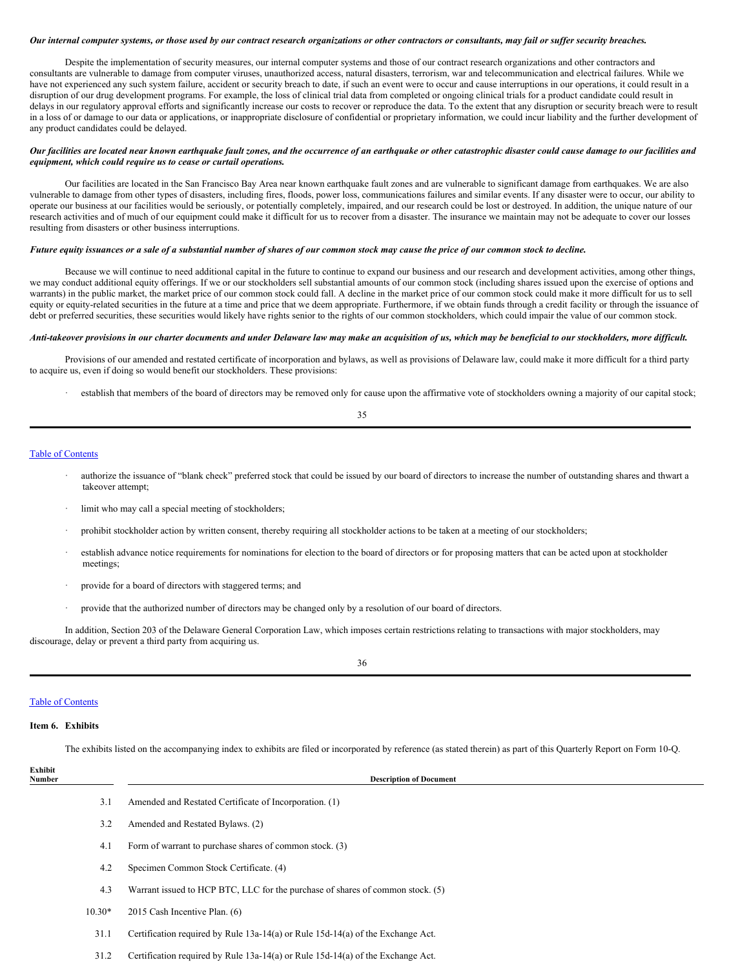#### Our internal computer systems, or those used by our contract research organizations or other contractors or consultants, may fail or suffer security breaches.

Despite the implementation of security measures, our internal computer systems and those of our contract research organizations and other contractors and consultants are vulnerable to damage from computer viruses, unauthorized access, natural disasters, terrorism, war and telecommunication and electrical failures. While we have not experienced any such system failure, accident or security breach to date, if such an event were to occur and cause interruptions in our operations, it could result in a disruption of our drug development programs. For example, the loss of clinical trial data from completed or ongoing clinical trials for a product candidate could result in delays in our regulatory approval efforts and significantly increase our costs to recover or reproduce the data. To the extent that any disruption or security breach were to result in a loss of or damage to our data or applications, or inappropriate disclosure of confidential or proprietary information, we could incur liability and the further development of any product candidates could be delayed.

#### Our facilities are located near known earthquake fault zones, and the occurrence of an earthquake or other catastrophic disaster could cause damage to our facilities and *equipment, which could require us to cease or curtail operations.*

Our facilities are located in the San Francisco Bay Area near known earthquake fault zones and are vulnerable to significant damage from earthquakes. We are also vulnerable to damage from other types of disasters, including fires, floods, power loss, communications failures and similar events. If any disaster were to occur, our ability to operate our business at our facilities would be seriously, or potentially completely, impaired, and our research could be lost or destroyed. In addition, the unique nature of our research activities and of much of our equipment could make it difficult for us to recover from a disaster. The insurance we maintain may not be adequate to cover our losses resulting from disasters or other business interruptions.

#### Future equity issuances or a sale of a substantial number of shares of our common stock may cause the price of our common stock to decline.

Because we will continue to need additional capital in the future to continue to expand our business and our research and development activities, among other things, we may conduct additional equity offerings. If we or our stockholders sell substantial amounts of our common stock (including shares issued upon the exercise of options and warrants) in the public market, the market price of our common stock could fall. A decline in the market price of our common stock could make it more difficult for us to sell equity or equity-related securities in the future at a time and price that we deem appropriate. Furthermore, if we obtain funds through a credit facility or through the issuance of debt or preferred securities, these securities would likely have rights senior to the rights of our common stockholders, which could impair the value of our common stock.

#### Anti-takeover provisions in our charter documents and under Delaware law may make an acquisition of us, which may be beneficial to our stockholders, more difficult.

Provisions of our amended and restated certificate of incorporation and bylaws, as well as provisions of Delaware law, could make it more difficult for a third party to acquire us, even if doing so would benefit our stockholders. These provisions:

· establish that members of the board of directors may be removed only for cause upon the affirmative vote of stockholders owning a majority of our capital stock;

35

#### Table of [Contents](#page-0-0)

- authorize the issuance of "blank check" preferred stock that could be issued by our board of directors to increase the number of outstanding shares and thwart a takeover attempt;
- limit who may call a special meeting of stockholders;
- prohibit stockholder action by written consent, thereby requiring all stockholder actions to be taken at a meeting of our stockholders;
- establish advance notice requirements for nominations for election to the board of directors or for proposing matters that can be acted upon at stockholder meetings;
- provide for a board of directors with staggered terms; and
- provide that the authorized number of directors may be changed only by a resolution of our board of directors.

In addition, Section 203 of the Delaware General Corporation Law, which imposes certain restrictions relating to transactions with major stockholders, may discourage, delay or prevent a third party from acquiring us.

## 36

## Table of [Contents](#page-0-0)

#### **Item 6. Exhibits**

**Exhibit**

<span id="page-22-0"></span>The exhibits listed on the accompanying index to exhibits are filed or incorporated by reference (as stated therein) as part of this Quarterly Report on Form 10-Q.

| Number   | <b>Description of Document</b>                                                      |  |  |  |  |
|----------|-------------------------------------------------------------------------------------|--|--|--|--|
| 3.1      | Amended and Restated Certificate of Incorporation. (1)                              |  |  |  |  |
| 3.2      | Amended and Restated Bylaws. (2)                                                    |  |  |  |  |
| 4.1      | Form of warrant to purchase shares of common stock. (3)                             |  |  |  |  |
| 4.2      | Specimen Common Stock Certificate. (4)                                              |  |  |  |  |
| 4.3      | Warrant issued to HCP BTC, LLC for the purchase of shares of common stock. (5)      |  |  |  |  |
| $10.30*$ | 2015 Cash Incentive Plan. (6)                                                       |  |  |  |  |
| 31.1     | Certification required by Rule $13a-14(a)$ or Rule $15d-14(a)$ of the Exchange Act. |  |  |  |  |

31.2 Certification required by Rule 13a-14(a) or Rule 15d-14(a) of the Exchange Act.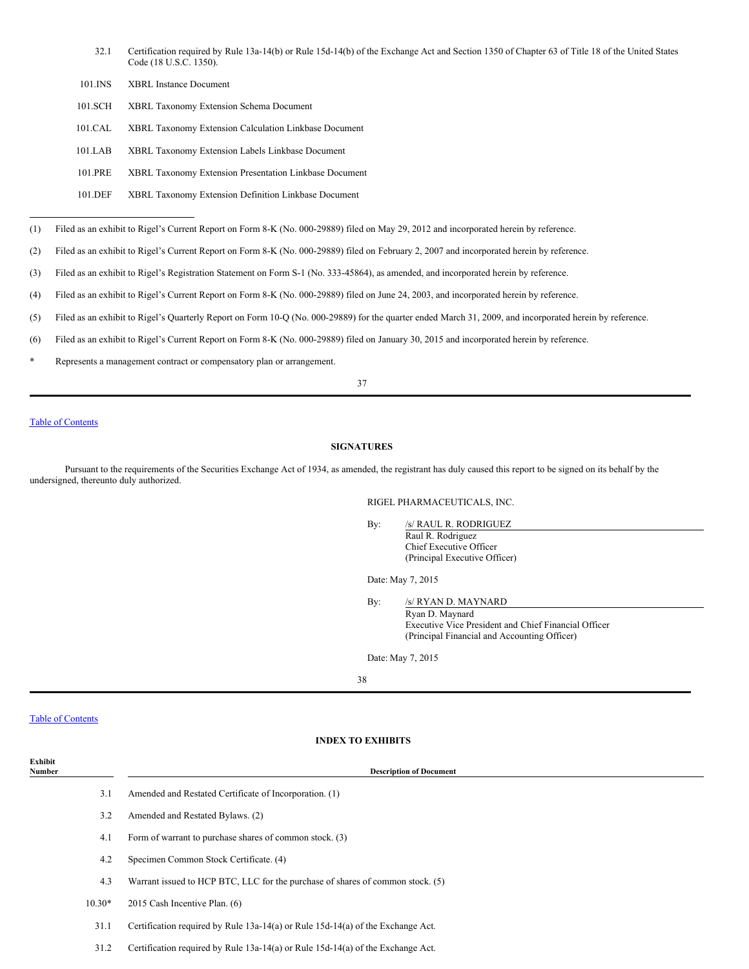- 32.1 Certification required by Rule 13a-14(b) or Rule 15d-14(b) of the Exchange Act and Section 1350 of Chapter 63 of Title 18 of the United States Code (18 U.S.C. 1350).
- 101.INS XBRL Instance Document
- 101.SCH XBRL Taxonomy Extension Schema Document
- 101.CAL XBRL Taxonomy Extension Calculation Linkbase Document
- 101.LAB XBRL Taxonomy Extension Labels Linkbase Document
- 101.PRE XBRL Taxonomy Extension Presentation Linkbase Document
- 101.DEF XBRL Taxonomy Extension Definition Linkbase Document

(1) Filed as an exhibit to Rigel's Current Report on Form 8-K (No. 000-29889) filed on May 29, 2012 and incorporated herein by reference.

(2) Filed as an exhibit to Rigel's Current Report on Form 8-K (No. 000-29889) filed on February 2, 2007 and incorporated herein by reference.

- (3) Filed as an exhibit to Rigel's Registration Statement on Form S-1 (No. 333-45864), as amended, and incorporated herein by reference.
- (4) Filed as an exhibit to Rigel's Current Report on Form 8-K (No. 000-29889) filed on June 24, 2003, and incorporated herein by reference.
- (5) Filed as an exhibit to Rigel's Quarterly Report on Form 10-Q (No. 000-29889) for the quarter ended March 31, 2009, and incorporated herein by reference.
- (6) Filed as an exhibit to Rigel's Current Report on Form 8-K (No. 000-29889) filed on January 30, 2015 and incorporated herein by reference.

Represents a management contract or compensatory plan or arrangement.

37

## Table of [Contents](#page-0-0)

## <span id="page-23-0"></span>**SIGNATURES**

Pursuant to the requirements of the Securities Exchange Act of 1934, as amended, the registrant has duly caused this report to be signed on its behalf by the undersigned, thereunto duly authorized.

RIGEL PHARMACEUTICALS, INC.

By: /s/ RAUL R. RODRIGUEZ Raul R. Rodriguez Chief Executive Officer (Principal Executive Officer)

Date: May 7, 2015

By: /s/ RYAN D. MAYNARD

Ryan D. Maynard Executive Vice President and Chief Financial Officer (Principal Financial and Accounting Officer)

Date: May 7, 2015

38

#### Table of [Contents](#page-0-0)

**Exhibit**

## **INDEX TO EXHIBITS**

| Exhibit<br>Number |          | <b>Description of Document</b>                                                      |  |  |
|-------------------|----------|-------------------------------------------------------------------------------------|--|--|
|                   | 3.1      | Amended and Restated Certificate of Incorporation. (1)                              |  |  |
|                   | 3.2      | Amended and Restated Bylaws. (2)                                                    |  |  |
|                   | 4.1      | Form of warrant to purchase shares of common stock. (3)                             |  |  |
|                   | 4.2      | Specimen Common Stock Certificate. (4)                                              |  |  |
|                   | 4.3      | Warrant issued to HCP BTC, LLC for the purchase of shares of common stock. (5)      |  |  |
|                   | $10.30*$ | 2015 Cash Incentive Plan. (6)                                                       |  |  |
|                   | 31.1     | Certification required by Rule $13a-14(a)$ or Rule $15d-14(a)$ of the Exchange Act. |  |  |
|                   |          |                                                                                     |  |  |

31.2 Certification required by Rule 13a-14(a) or Rule 15d-14(a) of the Exchange Act.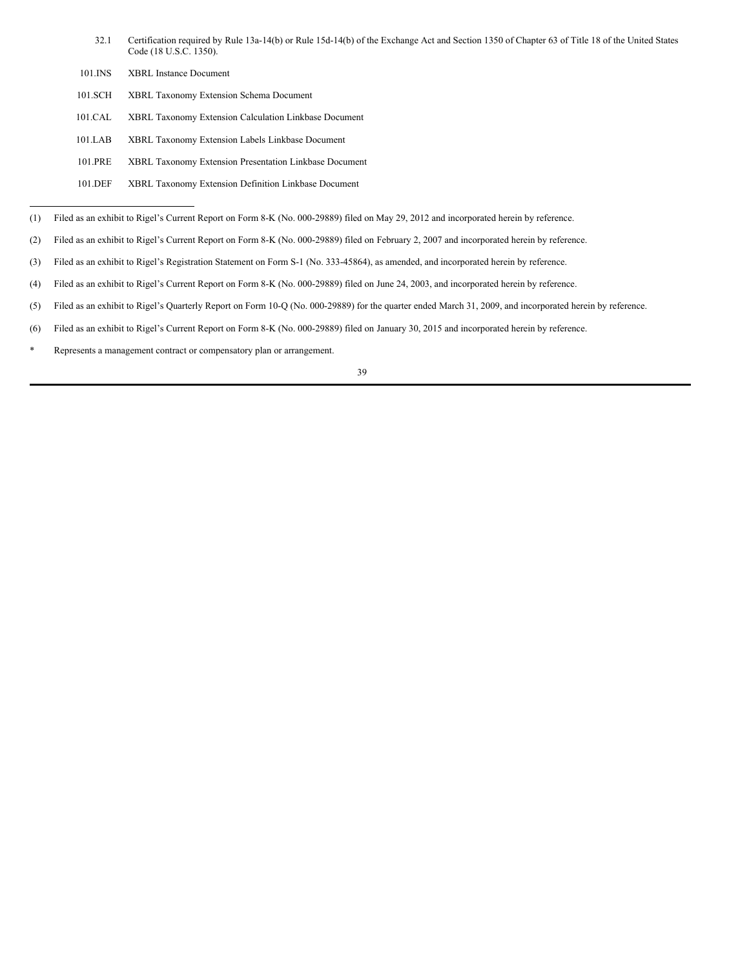- 32.1 Certification required by Rule 13a-14(b) or Rule 15d-14(b) of the Exchange Act and Section 1350 of Chapter 63 of Title 18 of the United States Code (18 U.S.C. 1350).
- 101.INS XBRL Instance Document
- 101.SCH XBRL Taxonomy Extension Schema Document
- 101.CAL XBRL Taxonomy Extension Calculation Linkbase Document
- 101.LAB XBRL Taxonomy Extension Labels Linkbase Document
- 101.PRE XBRL Taxonomy Extension Presentation Linkbase Document
- 101.DEF XBRL Taxonomy Extension Definition Linkbase Document

(1) Filed as an exhibit to Rigel's Current Report on Form 8-K (No. 000-29889) filed on May 29, 2012 and incorporated herein by reference.

- (3) Filed as an exhibit to Rigel's Registration Statement on Form S-1 (No. 333-45864), as amended, and incorporated herein by reference.
- (4) Filed as an exhibit to Rigel's Current Report on Form 8-K (No. 000-29889) filed on June 24, 2003, and incorporated herein by reference.
- (5) Filed as an exhibit to Rigel's Quarterly Report on Form 10-Q (No. 000-29889) for the quarter ended March 31, 2009, and incorporated herein by reference.
- (6) Filed as an exhibit to Rigel's Current Report on Form 8-K (No. 000-29889) filed on January 30, 2015 and incorporated herein by reference.
- Represents a management contract or compensatory plan or arrangement.
- 39

<sup>(2)</sup> Filed as an exhibit to Rigel's Current Report on Form 8-K (No. 000-29889) filed on February 2, 2007 and incorporated herein by reference.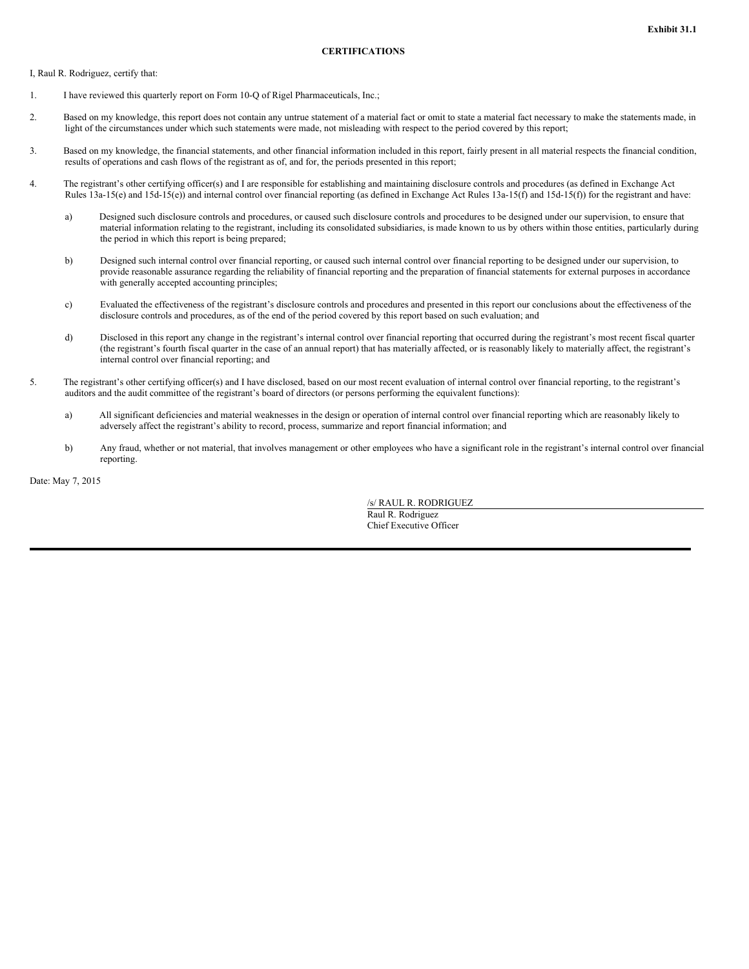I, Raul R. Rodriguez, certify that:

- 1. I have reviewed this quarterly report on Form 10-Q of Rigel Pharmaceuticals, Inc.;
- 2. Based on my knowledge, this report does not contain any untrue statement of a material fact or omit to state a material fact necessary to make the statements made, in light of the circumstances under which such statements were made, not misleading with respect to the period covered by this report;
- 3. Based on my knowledge, the financial statements, and other financial information included in this report, fairly present in all material respects the financial condition, results of operations and cash flows of the registrant as of, and for, the periods presented in this report;
- 4. The registrant's other certifying officer(s) and I are responsible for establishing and maintaining disclosure controls and procedures (as defined in Exchange Act Rules 13a-15(e) and 15d-15(e)) and internal control over financial reporting (as defined in Exchange Act Rules 13a-15(f) and 15d-15(f)) for the registrant and have:
	- a) Designed such disclosure controls and procedures, or caused such disclosure controls and procedures to be designed under our supervision, to ensure that material information relating to the registrant, including its consolidated subsidiaries, is made known to us by others within those entities, particularly during the period in which this report is being prepared;
	- b) Designed such internal control over financial reporting, or caused such internal control over financial reporting to be designed under our supervision, to provide reasonable assurance regarding the reliability of financial reporting and the preparation of financial statements for external purposes in accordance with generally accepted accounting principles;
	- c) Evaluated the effectiveness of the registrant's disclosure controls and procedures and presented in this report our conclusions about the effectiveness of the disclosure controls and procedures, as of the end of the period covered by this report based on such evaluation; and
	- d) Disclosed in this report any change in the registrant's internal control over financial reporting that occurred during the registrant's most recent fiscal quarter (the registrant's fourth fiscal quarter in the case of an annual report) that has materially affected, or is reasonably likely to materially affect, the registrant's internal control over financial reporting; and
- 5. The registrant's other certifying officer(s) and I have disclosed, based on our most recent evaluation of internal control over financial reporting, to the registrant's auditors and the audit committee of the registrant's board of directors (or persons performing the equivalent functions):
	- a) All significant deficiencies and material weaknesses in the design or operation of internal control over financial reporting which are reasonably likely to adversely affect the registrant's ability to record, process, summarize and report financial information; and
	- b) Any fraud, whether or not material, that involves management or other employees who have a significant role in the registrant's internal control over financial reporting.

Date: May 7, 2015

/s/ RAUL R. RODRIGUEZ Raul R. Rodriguez Chief Executive Officer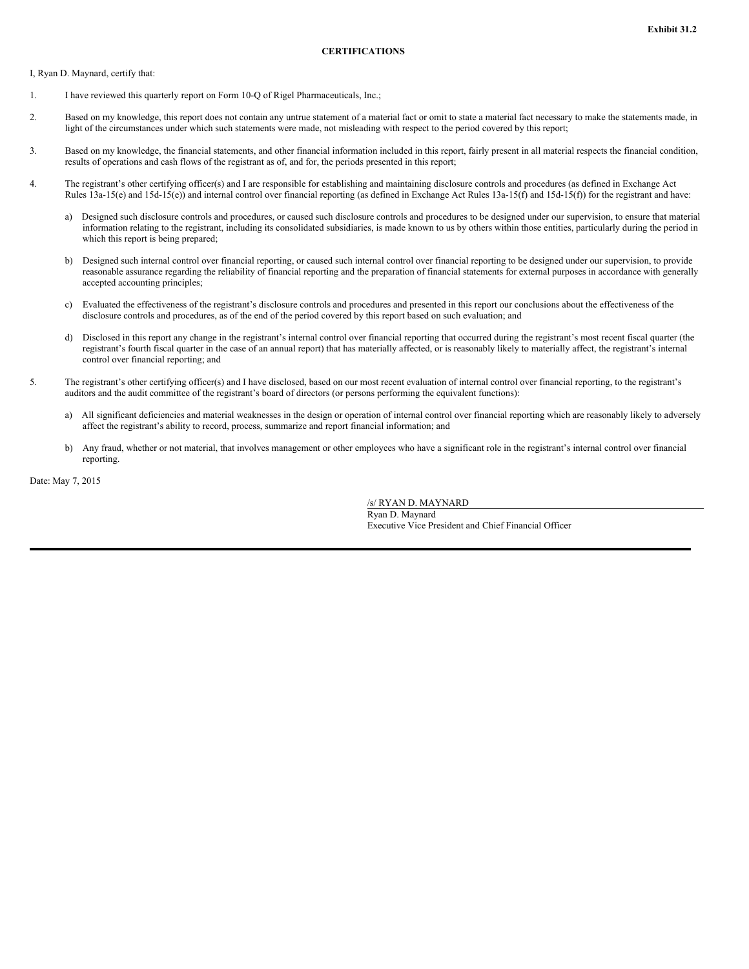I, Ryan D. Maynard, certify that:

- 1. I have reviewed this quarterly report on Form 10-Q of Rigel Pharmaceuticals, Inc.;
- 2. Based on my knowledge, this report does not contain any untrue statement of a material fact or omit to state a material fact necessary to make the statements made, in light of the circumstances under which such statements were made, not misleading with respect to the period covered by this report;
- 3. Based on my knowledge, the financial statements, and other financial information included in this report, fairly present in all material respects the financial condition, results of operations and cash flows of the registrant as of, and for, the periods presented in this report;
- 4. The registrant's other certifying officer(s) and I are responsible for establishing and maintaining disclosure controls and procedures (as defined in Exchange Act Rules 13a-15(e) and 15d-15(e)) and internal control over financial reporting (as defined in Exchange Act Rules 13a-15(f) and 15d-15(f)) for the registrant and have:
	- a) Designed such disclosure controls and procedures, or caused such disclosure controls and procedures to be designed under our supervision, to ensure that material information relating to the registrant, including its consolidated subsidiaries, is made known to us by others within those entities, particularly during the period in which this report is being prepared;
	- b) Designed such internal control over financial reporting, or caused such internal control over financial reporting to be designed under our supervision, to provide reasonable assurance regarding the reliability of financial reporting and the preparation of financial statements for external purposes in accordance with generally accepted accounting principles;
	- c) Evaluated the effectiveness of the registrant's disclosure controls and procedures and presented in this report our conclusions about the effectiveness of the disclosure controls and procedures, as of the end of the period covered by this report based on such evaluation; and
	- d) Disclosed in this report any change in the registrant's internal control over financial reporting that occurred during the registrant's most recent fiscal quarter (the registrant's fourth fiscal quarter in the case of an annual report) that has materially affected, or is reasonably likely to materially affect, the registrant's internal control over financial reporting; and
- 5. The registrant's other certifying officer(s) and I have disclosed, based on our most recent evaluation of internal control over financial reporting, to the registrant's auditors and the audit committee of the registrant's board of directors (or persons performing the equivalent functions):
	- a) All significant deficiencies and material weaknesses in the design or operation of internal control over financial reporting which are reasonably likely to adversely affect the registrant's ability to record, process, summarize and report financial information; and
	- b) Any fraud, whether or not material, that involves management or other employees who have a significant role in the registrant's internal control over financial reporting.

Date: May 7, 2015

/s/ RYAN D. MAYNARD Ryan D. Maynard Executive Vice President and Chief Financial Officer